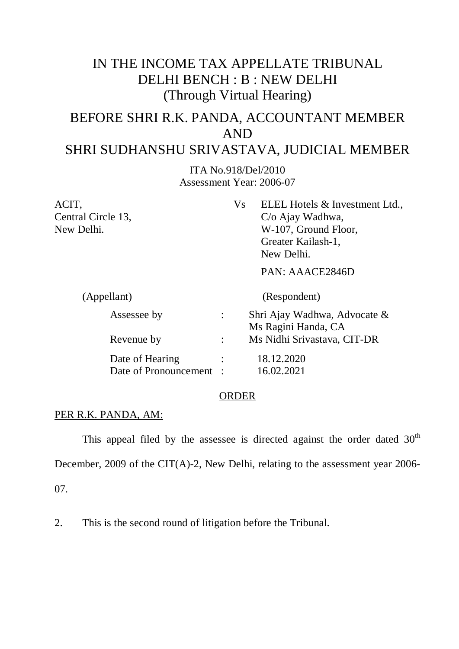## IN THE INCOME TAX APPELLATE TRIBUNAL DELHI BENCH : B : NEW DELHI (Through Virtual Hearing)

# BEFORE SHRI R.K. PANDA, ACCOUNTANT MEMBER AND

### SHRI SUDHANSHU SRIVASTAVA, JUDICIAL MEMBER

ITA No.918/Del/2010 Assessment Year: 2006-07

| ACIT,                 | V <sub>S</sub><br>ELEL Hotels & Investment Ltd., |
|-----------------------|--------------------------------------------------|
| Central Circle 13,    | $C/O$ Ajay Wadhwa,                               |
| New Delhi.            | W-107, Ground Floor,                             |
|                       | Greater Kailash-1,                               |
|                       | New Delhi.                                       |
|                       | PAN: AAACE2846D                                  |
| (Appellant)           | (Respondent)                                     |
| Assessee by           | Shri Ajay Wadhwa, Advocate &                     |
|                       | Ms Ragini Handa, CA                              |
| Revenue by            | Ms Nidhi Srivastava, CIT-DR                      |
| Date of Hearing       | 18.12.2020                                       |
| Date of Pronouncement | 16.02.2021                                       |

#### ORDER

#### PER R.K. PANDA, AM:

This appeal filed by the assessee is directed against the order dated  $30<sup>th</sup>$ December, 2009 of the CIT(A)-2, New Delhi, relating to the assessment year 2006-07.

2. This is the second round of litigation before the Tribunal.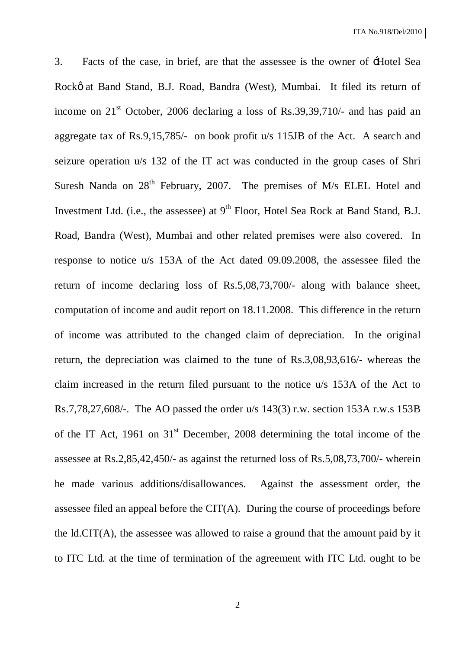3. Facts of the case, in brief, are that the assessee is the owner of 'Hotel Sea Rockø at Band Stand, B.J. Road, Bandra (West), Mumbai. It filed its return of income on  $21<sup>st</sup>$  October, 2006 declaring a loss of Rs.39,39,710/- and has paid an aggregate tax of Rs.9,15,785/- on book profit u/s 115JB of the Act. A search and seizure operation u/s 132 of the IT act was conducted in the group cases of Shri Suresh Nanda on  $28<sup>th</sup>$  February, 2007. The premises of M/s ELEL Hotel and Investment Ltd. (i.e., the assessee) at  $9<sup>th</sup>$  Floor, Hotel Sea Rock at Band Stand, B.J. Road, Bandra (West), Mumbai and other related premises were also covered. In response to notice u/s 153A of the Act dated 09.09.2008, the assessee filed the return of income declaring loss of Rs.5,08,73,700/- along with balance sheet, computation of income and audit report on 18.11.2008. This difference in the return of income was attributed to the changed claim of depreciation. In the original return, the depreciation was claimed to the tune of Rs.3,08,93,616/- whereas the claim increased in the return filed pursuant to the notice u/s 153A of the Act to Rs.7,78,27,608/-. The AO passed the order u/s 143(3) r.w. section 153A r.w.s 153B of the IT Act, 1961 on  $31<sup>st</sup>$  December, 2008 determining the total income of the assessee at Rs.2,85,42,450/- as against the returned loss of Rs.5,08,73,700/- wherein he made various additions/disallowances. Against the assessment order, the assessee filed an appeal before the CIT(A). During the course of proceedings before the ld.CIT(A), the assessee was allowed to raise a ground that the amount paid by it to ITC Ltd. at the time of termination of the agreement with ITC Ltd. ought to be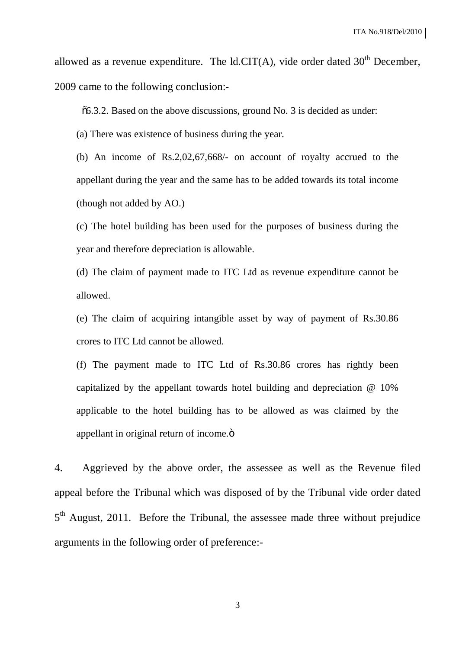allowed as a revenue expenditure. The ld.CIT(A), vide order dated  $30<sup>th</sup>$  December, 2009 came to the following conclusion:-

"6.3.2. Based on the above discussions, ground No. 3 is decided as under:

(a) There was existence of business during the year.

(b) An income of Rs.2,02,67,668/- on account of royalty accrued to the appellant during the year and the same has to be added towards its total income (though not added by AO.)

(c) The hotel building has been used for the purposes of business during the year and therefore depreciation is allowable.

(d) The claim of payment made to ITC Ltd as revenue expenditure cannot be allowed.

(e) The claim of acquiring intangible asset by way of payment of Rs.30.86 crores to ITC Ltd cannot be allowed.

(f) The payment made to ITC Ltd of Rs.30.86 crores has rightly been capitalized by the appellant towards hotel building and depreciation @ 10% applicable to the hotel building has to be allowed as was claimed by the appellant in original return of income. $\ddot{o}$ 

4. Aggrieved by the above order, the assessee as well as the Revenue filed appeal before the Tribunal which was disposed of by the Tribunal vide order dated 5<sup>th</sup> August, 2011. Before the Tribunal, the assessee made three without prejudice arguments in the following order of preference:-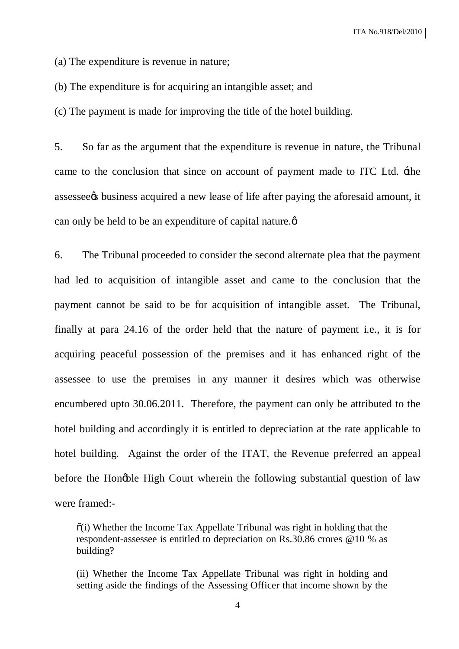(a) The expenditure is revenue in nature;

(b) The expenditure is for acquiring an intangible asset; and

(c) The payment is made for improving the title of the hotel building.

5. So far as the argument that the expenditure is revenue in nature, the Tribunal came to the conclusion that since on account of payment made to ITC Ltd. 'the assessee to business acquired a new lease of life after paying the aforesaid amount, it can only be held to be an expenditure of capital nature. $\phi$ 

6. The Tribunal proceeded to consider the second alternate plea that the payment had led to acquisition of intangible asset and came to the conclusion that the payment cannot be said to be for acquisition of intangible asset. The Tribunal, finally at para 24.16 of the order held that the nature of payment i.e., it is for acquiring peaceful possession of the premises and it has enhanced right of the assessee to use the premises in any manner it desires which was otherwise encumbered upto 30.06.2011. Therefore, the payment can only be attributed to the hotel building and accordingly it is entitled to depreciation at the rate applicable to hotel building. Against the order of the ITAT, the Revenue preferred an appeal before the Hongble High Court wherein the following substantial question of law were framed:-

 $\tilde{\sigma}$  (i) Whether the Income Tax Appellate Tribunal was right in holding that the respondent-assessee is entitled to depreciation on Rs.30.86 crores @10 % as building?

(ii) Whether the Income Tax Appellate Tribunal was right in holding and setting aside the findings of the Assessing Officer that income shown by the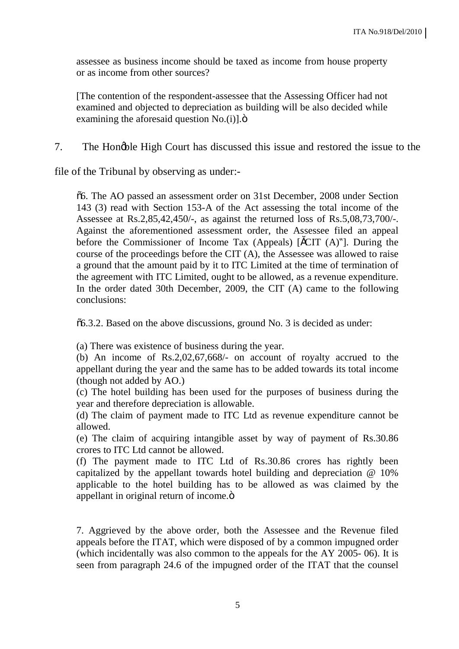assessee as business income should be taxed as income from house property or as income from other sources?

[The contention of the respondent-assessee that the Assessing Officer had not examined and objected to depreciation as building will be also decided while examining the aforesaid question  $No.(i)$ ]. $\ddot{o}$ 

7. The Hongble High Court has discussed this issue and restored the issue to the

file of the Tribunal by observing as under:-

"6. The AO passed an assessment order on 31st December, 2008 under Section 143 (3) read with Section 153-A of the Act assessing the total income of the Assessee at Rs.2,85,42,450/-, as against the returned loss of Rs.5,08,73,700/-. Against the aforementioned assessment order, the Assessee filed an appeal before the Commissioner of Income Tax (Appeals) [ $\text{SCTT}$  (A)"]. During the course of the proceedings before the CIT (A), the Assessee was allowed to raise a ground that the amount paid by it to ITC Limited at the time of termination of the agreement with ITC Limited, ought to be allowed, as a revenue expenditure. In the order dated 30th December, 2009, the CIT (A) came to the following conclusions:

 $\delta$ 6.3.2. Based on the above discussions, ground No. 3 is decided as under:

(a) There was existence of business during the year.

(b) An income of Rs.2,02,67,668/- on account of royalty accrued to the appellant during the year and the same has to be added towards its total income (though not added by AO.)

(c) The hotel building has been used for the purposes of business during the year and therefore depreciation is allowable.

(d) The claim of payment made to ITC Ltd as revenue expenditure cannot be allowed.

(e) The claim of acquiring intangible asset by way of payment of Rs.30.86 crores to ITC Ltd cannot be allowed.

(f) The payment made to ITC Ltd of Rs.30.86 crores has rightly been capitalized by the appellant towards hotel building and depreciation @ 10% applicable to the hotel building has to be allowed as was claimed by the appellant in original return of income.ö

7. Aggrieved by the above order, both the Assessee and the Revenue filed appeals before the ITAT, which were disposed of by a common impugned order (which incidentally was also common to the appeals for the AY 2005- 06). It is seen from paragraph 24.6 of the impugned order of the ITAT that the counsel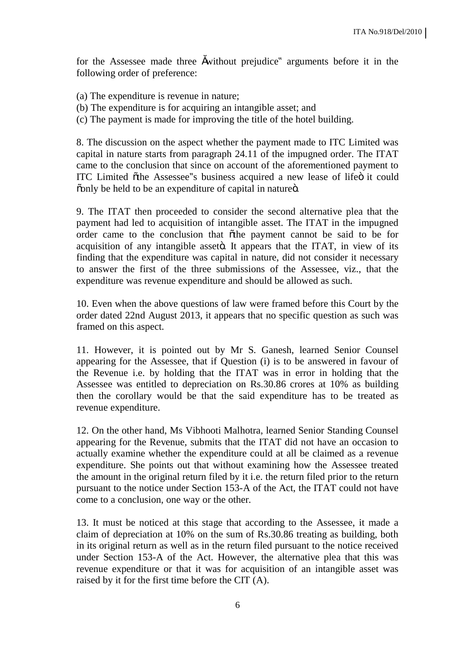for the Assessee made three swithout prejudice" arguments before it in the following order of preference:

- (a) The expenditure is revenue in nature;
- (b) The expenditure is for acquiring an intangible asset; and
- (c) The payment is made for improving the title of the hotel building.

8. The discussion on the aspect whether the payment made to ITC Limited was capital in nature starts from paragraph 24.11 of the impugned order. The ITAT came to the conclusion that since on account of the aforementioned payment to ITC Limited õthe Assessee"s business acquired a new lease of lifeö it could  $\tilde{\text{con}}$  be held to be an expenditure of capital in nature o.

9. The ITAT then proceeded to consider the second alternative plea that the payment had led to acquisition of intangible asset. The ITAT in the impugned order came to the conclusion that othe payment cannot be said to be for acquisition of any intangible asset . It appears that the ITAT, in view of its finding that the expenditure was capital in nature, did not consider it necessary to answer the first of the three submissions of the Assessee, viz., that the expenditure was revenue expenditure and should be allowed as such.

10. Even when the above questions of law were framed before this Court by the order dated 22nd August 2013, it appears that no specific question as such was framed on this aspect.

11. However, it is pointed out by Mr S. Ganesh, learned Senior Counsel appearing for the Assessee, that if Question (i) is to be answered in favour of the Revenue i.e. by holding that the ITAT was in error in holding that the Assessee was entitled to depreciation on Rs.30.86 crores at 10% as building then the corollary would be that the said expenditure has to be treated as revenue expenditure.

12. On the other hand, Ms Vibhooti Malhotra, learned Senior Standing Counsel appearing for the Revenue, submits that the ITAT did not have an occasion to actually examine whether the expenditure could at all be claimed as a revenue expenditure. She points out that without examining how the Assessee treated the amount in the original return filed by it i.e. the return filed prior to the return pursuant to the notice under Section 153-A of the Act, the ITAT could not have come to a conclusion, one way or the other.

13. It must be noticed at this stage that according to the Assessee, it made a claim of depreciation at 10% on the sum of Rs.30.86 treating as building, both in its original return as well as in the return filed pursuant to the notice received under Section 153-A of the Act. However, the alternative plea that this was revenue expenditure or that it was for acquisition of an intangible asset was raised by it for the first time before the CIT (A).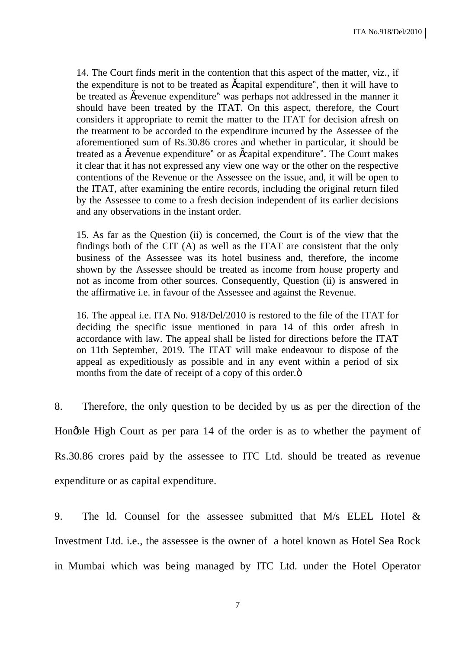14. The Court finds merit in the contention that this aspect of the matter, viz., if the expenditure is not to be treated as scapital expenditure", then it will have to be treated as šrevenue expenditure" was perhaps not addressed in the manner it should have been treated by the ITAT. On this aspect, therefore, the Court considers it appropriate to remit the matter to the ITAT for decision afresh on the treatment to be accorded to the expenditure incurred by the Assessee of the aforementioned sum of Rs.30.86 crores and whether in particular, it should be treated as a šrevenue expenditure" or as šcapital expenditure". The Court makes it clear that it has not expressed any view one way or the other on the respective contentions of the Revenue or the Assessee on the issue, and, it will be open to the ITAT, after examining the entire records, including the original return filed by the Assessee to come to a fresh decision independent of its earlier decisions and any observations in the instant order.

15. As far as the Question (ii) is concerned, the Court is of the view that the findings both of the CIT (A) as well as the ITAT are consistent that the only business of the Assessee was its hotel business and, therefore, the income shown by the Assessee should be treated as income from house property and not as income from other sources. Consequently, Question (ii) is answered in the affirmative i.e. in favour of the Assessee and against the Revenue.

16. The appeal i.e. ITA No. 918/Del/2010 is restored to the file of the ITAT for deciding the specific issue mentioned in para 14 of this order afresh in accordance with law. The appeal shall be listed for directions before the ITAT on 11th September, 2019. The ITAT will make endeavour to dispose of the appeal as expeditiously as possible and in any event within a period of six months from the date of receipt of a copy of this order. $\ddot{o}$ 

8. Therefore, the only question to be decided by us as per the direction of the Hongble High Court as per para 14 of the order is as to whether the payment of Rs.30.86 crores paid by the assessee to ITC Ltd. should be treated as revenue expenditure or as capital expenditure.

9. The ld. Counsel for the assessee submitted that M/s ELEL Hotel & Investment Ltd. i.e., the assessee is the owner of a hotel known as Hotel Sea Rock in Mumbai which was being managed by ITC Ltd. under the Hotel Operator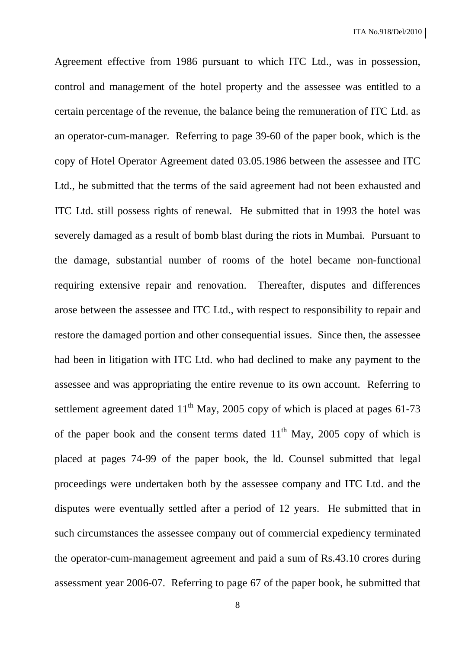Agreement effective from 1986 pursuant to which ITC Ltd., was in possession, control and management of the hotel property and the assessee was entitled to a certain percentage of the revenue, the balance being the remuneration of ITC Ltd. as an operator-cum-manager. Referring to page 39-60 of the paper book, which is the copy of Hotel Operator Agreement dated 03.05.1986 between the assessee and ITC Ltd., he submitted that the terms of the said agreement had not been exhausted and ITC Ltd. still possess rights of renewal. He submitted that in 1993 the hotel was severely damaged as a result of bomb blast during the riots in Mumbai. Pursuant to the damage, substantial number of rooms of the hotel became non-functional requiring extensive repair and renovation. Thereafter, disputes and differences arose between the assessee and ITC Ltd., with respect to responsibility to repair and restore the damaged portion and other consequential issues. Since then, the assessee had been in litigation with ITC Ltd. who had declined to make any payment to the assessee and was appropriating the entire revenue to its own account. Referring to settlement agreement dated  $11<sup>th</sup>$  May, 2005 copy of which is placed at pages 61-73 of the paper book and the consent terms dated  $11<sup>th</sup>$  May, 2005 copy of which is placed at pages 74-99 of the paper book, the ld. Counsel submitted that legal proceedings were undertaken both by the assessee company and ITC Ltd. and the disputes were eventually settled after a period of 12 years. He submitted that in such circumstances the assessee company out of commercial expediency terminated the operator-cum-management agreement and paid a sum of Rs.43.10 crores during assessment year 2006-07. Referring to page 67 of the paper book, he submitted that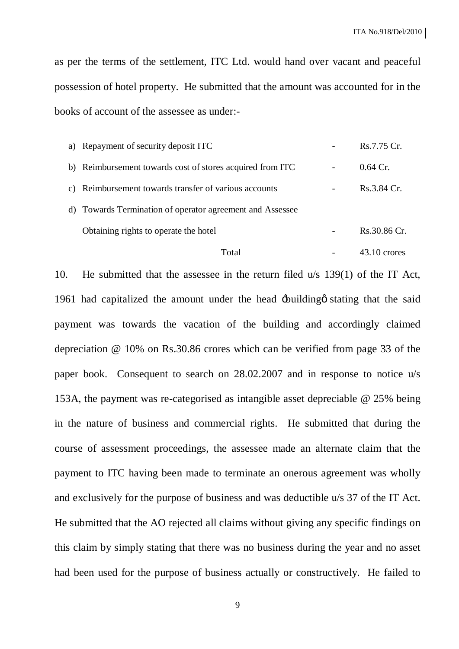as per the terms of the settlement, ITC Ltd. would hand over vacant and peaceful possession of hotel property. He submitted that the amount was accounted for in the books of account of the assessee as under:-

| a) Repayment of security deposit ITC                      | Rs.7.75 Cr.    |
|-----------------------------------------------------------|----------------|
| b) Reimbursement towards cost of stores acquired from ITC | $0.64$ Cr.     |
| c) Reimbursement towards transfer of various accounts     | Rs.3.84 Cr.    |
| d) Towards Termination of operator agreement and Assessee |                |
| Obtaining rights to operate the hotel                     | Rs.30.86 Cr.   |
| Total                                                     | $43.10$ crores |

10. He submitted that the assessee in the return filed u/s 139(1) of the IT Act, 1961 had capitalized the amount under the head  $\pm$ building that the said payment was towards the vacation of the building and accordingly claimed depreciation @ 10% on Rs.30.86 crores which can be verified from page 33 of the paper book. Consequent to search on 28.02.2007 and in response to notice u/s 153A, the payment was re-categorised as intangible asset depreciable @ 25% being in the nature of business and commercial rights. He submitted that during the course of assessment proceedings, the assessee made an alternate claim that the payment to ITC having been made to terminate an onerous agreement was wholly and exclusively for the purpose of business and was deductible u/s 37 of the IT Act. He submitted that the AO rejected all claims without giving any specific findings on this claim by simply stating that there was no business during the year and no asset had been used for the purpose of business actually or constructively. He failed to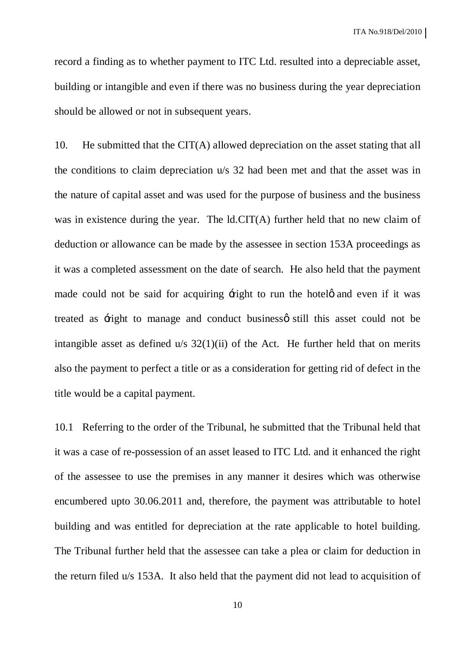record a finding as to whether payment to ITC Ltd. resulted into a depreciable asset, building or intangible and even if there was no business during the year depreciation should be allowed or not in subsequent years.

10. He submitted that the CIT(A) allowed depreciation on the asset stating that all the conditions to claim depreciation u/s 32 had been met and that the asset was in the nature of capital asset and was used for the purpose of business and the business was in existence during the year. The ld.CIT(A) further held that no new claim of deduction or allowance can be made by the assessee in section 153A proceedings as it was a completed assessment on the date of search. He also held that the payment made could not be said for acquiring  $\pm$ ight to run the hotels and even if it was treated as  $\pm$ ight to manage and conduct business itill this asset could not be intangible asset as defined  $u/s$  32(1)(ii) of the Act. He further held that on merits also the payment to perfect a title or as a consideration for getting rid of defect in the title would be a capital payment.

10.1 Referring to the order of the Tribunal, he submitted that the Tribunal held that it was a case of re-possession of an asset leased to ITC Ltd. and it enhanced the right of the assessee to use the premises in any manner it desires which was otherwise encumbered upto 30.06.2011 and, therefore, the payment was attributable to hotel building and was entitled for depreciation at the rate applicable to hotel building. The Tribunal further held that the assessee can take a plea or claim for deduction in the return filed u/s 153A. It also held that the payment did not lead to acquisition of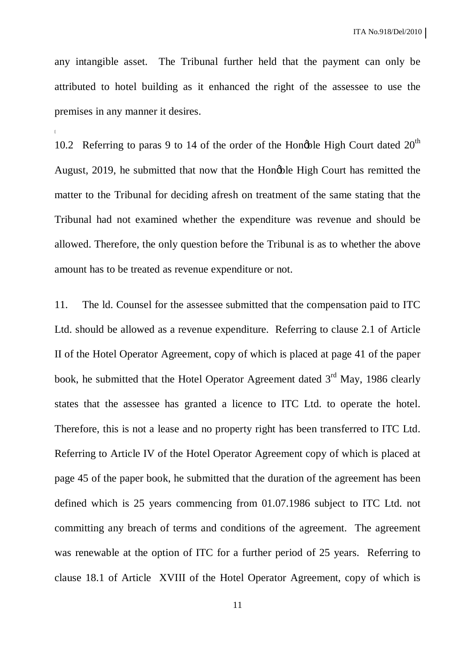any intangible asset. The Tribunal further held that the payment can only be attributed to hotel building as it enhanced the right of the assessee to use the premises in any manner it desires.

[

10.2 Referring to paras 9 to 14 of the order of the Hongble High Court dated  $20<sup>th</sup>$ August, 2019, he submitted that now that the Honoble High Court has remitted the matter to the Tribunal for deciding afresh on treatment of the same stating that the Tribunal had not examined whether the expenditure was revenue and should be allowed. Therefore, the only question before the Tribunal is as to whether the above amount has to be treated as revenue expenditure or not.

11. The ld. Counsel for the assessee submitted that the compensation paid to ITC Ltd. should be allowed as a revenue expenditure. Referring to clause 2.1 of Article II of the Hotel Operator Agreement, copy of which is placed at page 41 of the paper book, he submitted that the Hotel Operator Agreement dated  $3<sup>rd</sup>$  May, 1986 clearly states that the assessee has granted a licence to ITC Ltd. to operate the hotel. Therefore, this is not a lease and no property right has been transferred to ITC Ltd. Referring to Article IV of the Hotel Operator Agreement copy of which is placed at page 45 of the paper book, he submitted that the duration of the agreement has been defined which is 25 years commencing from 01.07.1986 subject to ITC Ltd. not committing any breach of terms and conditions of the agreement. The agreement was renewable at the option of ITC for a further period of 25 years. Referring to clause 18.1 of Article XVIII of the Hotel Operator Agreement, copy of which is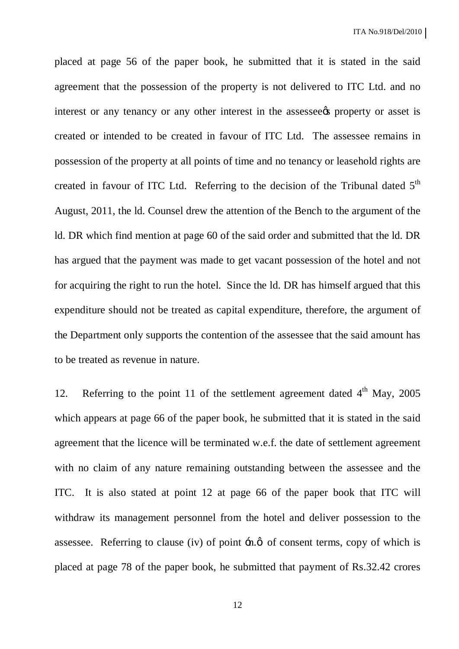placed at page 56 of the paper book, he submitted that it is stated in the said agreement that the possession of the property is not delivered to ITC Ltd. and no interest or any tenancy or any other interest in the assessee to property or asset is created or intended to be created in favour of ITC Ltd. The assessee remains in possession of the property at all points of time and no tenancy or leasehold rights are created in favour of ITC Ltd. Referring to the decision of the Tribunal dated  $5<sup>th</sup>$ August, 2011, the ld. Counsel drew the attention of the Bench to the argument of the ld. DR which find mention at page 60 of the said order and submitted that the ld. DR has argued that the payment was made to get vacant possession of the hotel and not for acquiring the right to run the hotel. Since the ld. DR has himself argued that this expenditure should not be treated as capital expenditure, therefore, the argument of the Department only supports the contention of the assessee that the said amount has to be treated as revenue in nature.

12. Referring to the point 11 of the settlement agreement dated  $4<sup>th</sup>$  May, 2005 which appears at page 66 of the paper book, he submitted that it is stated in the said agreement that the licence will be terminated w.e.f. the date of settlement agreement with no claim of any nature remaining outstanding between the assessee and the ITC. It is also stated at point 12 at page 66 of the paper book that ITC will withdraw its management personnel from the hotel and deliver possession to the assessee. Referring to clause (iv) of point  $\exists n, \emptyset$  of consent terms, copy of which is placed at page 78 of the paper book, he submitted that payment of Rs.32.42 crores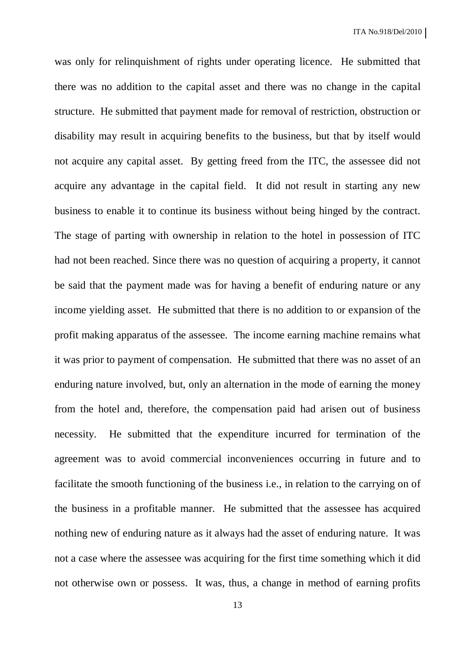was only for relinquishment of rights under operating licence. He submitted that there was no addition to the capital asset and there was no change in the capital structure. He submitted that payment made for removal of restriction, obstruction or disability may result in acquiring benefits to the business, but that by itself would not acquire any capital asset. By getting freed from the ITC, the assessee did not acquire any advantage in the capital field. It did not result in starting any new business to enable it to continue its business without being hinged by the contract. The stage of parting with ownership in relation to the hotel in possession of ITC had not been reached. Since there was no question of acquiring a property, it cannot be said that the payment made was for having a benefit of enduring nature or any income yielding asset. He submitted that there is no addition to or expansion of the profit making apparatus of the assessee. The income earning machine remains what it was prior to payment of compensation. He submitted that there was no asset of an enduring nature involved, but, only an alternation in the mode of earning the money from the hotel and, therefore, the compensation paid had arisen out of business necessity. He submitted that the expenditure incurred for termination of the agreement was to avoid commercial inconveniences occurring in future and to facilitate the smooth functioning of the business i.e., in relation to the carrying on of the business in a profitable manner. He submitted that the assessee has acquired nothing new of enduring nature as it always had the asset of enduring nature. It was not a case where the assessee was acquiring for the first time something which it did not otherwise own or possess. It was, thus, a change in method of earning profits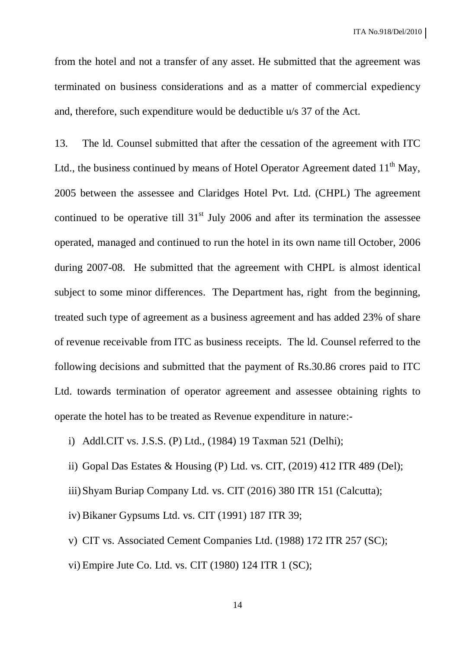ITA No.918/Del/2010

from the hotel and not a transfer of any asset. He submitted that the agreement was terminated on business considerations and as a matter of commercial expediency and, therefore, such expenditure would be deductible u/s 37 of the Act.

13. The ld. Counsel submitted that after the cessation of the agreement with ITC Ltd., the business continued by means of Hotel Operator Agreement dated  $11<sup>th</sup>$  May, 2005 between the assessee and Claridges Hotel Pvt. Ltd. (CHPL) The agreement continued to be operative till  $31<sup>st</sup>$  July 2006 and after its termination the assessee operated, managed and continued to run the hotel in its own name till October, 2006 during 2007-08. He submitted that the agreement with CHPL is almost identical subject to some minor differences. The Department has, right from the beginning, treated such type of agreement as a business agreement and has added 23% of share of revenue receivable from ITC as business receipts. The ld. Counsel referred to the following decisions and submitted that the payment of Rs.30.86 crores paid to ITC Ltd. towards termination of operator agreement and assessee obtaining rights to operate the hotel has to be treated as Revenue expenditure in nature:-

i) Addl.CIT vs. J.S.S. (P) Ltd., (1984) 19 Taxman 521 (Delhi);

ii) Gopal Das Estates & Housing (P) Ltd. vs. CIT, (2019) 412 ITR 489 (Del);

iii)Shyam Buriap Company Ltd. vs. CIT (2016) 380 ITR 151 (Calcutta);

iv) Bikaner Gypsums Ltd. vs. CIT (1991) 187 ITR 39;

v) CIT vs. Associated Cement Companies Ltd. (1988) 172 ITR 257 (SC);

vi) Empire Jute Co. Ltd. vs. CIT (1980) 124 ITR 1 (SC);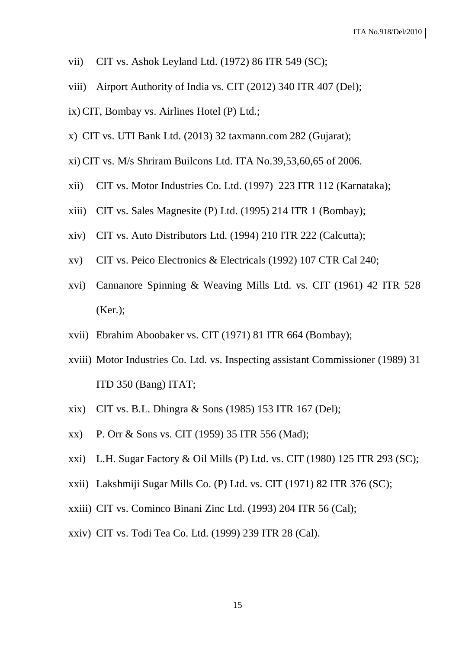- vii) CIT vs. Ashok Leyland Ltd.  $(1972)$  86 ITR 549 (SC);
- viii) Airport Authority of India vs. CIT (2012) 340 ITR 407 (Del);
- ix) CIT, Bombay vs. Airlines Hotel (P) Ltd.;
- x) CIT vs. UTI Bank Ltd. (2013) 32 taxmann.com 282 (Gujarat);
- xi) CIT vs. M/s Shriram Builcons Ltd. ITA No.39,53,60,65 of 2006.
- xii) CIT vs. Motor Industries Co. Ltd. (1997) 223 ITR 112 (Karnataka);
- xiii) CIT vs. Sales Magnesite (P) Ltd. (1995) 214 ITR 1 (Bombay);
- xiv) CIT vs. Auto Distributors Ltd. (1994) 210 ITR 222 (Calcutta);
- xv) CIT vs. Peico Electronics & Electricals (1992) 107 CTR Cal 240;
- xvi) Cannanore Spinning & Weaving Mills Ltd. vs. CIT (1961) 42 ITR 528 (Ker.);
- xvii) Ebrahim Aboobaker vs. CIT (1971) 81 ITR 664 (Bombay);
- xviii) Motor Industries Co. Ltd. vs. Inspecting assistant Commissioner (1989) 31 ITD 350 (Bang) ITAT;
- xix) CIT vs. B.L. Dhingra & Sons (1985) 153 ITR 167 (Del);
- xx) P. Orr & Sons vs. CIT (1959) 35 ITR 556 (Mad);
- xxi) L.H. Sugar Factory & Oil Mills (P) Ltd. vs. CIT (1980) 125 ITR 293 (SC);
- xxii) Lakshmiji Sugar Mills Co. (P) Ltd. vs. CIT (1971) 82 ITR 376 (SC);
- xxiii) CIT vs. Cominco Binani Zinc Ltd. (1993) 204 ITR 56 (Cal);
- xxiv) CIT vs. Todi Tea Co. Ltd. (1999) 239 ITR 28 (Cal).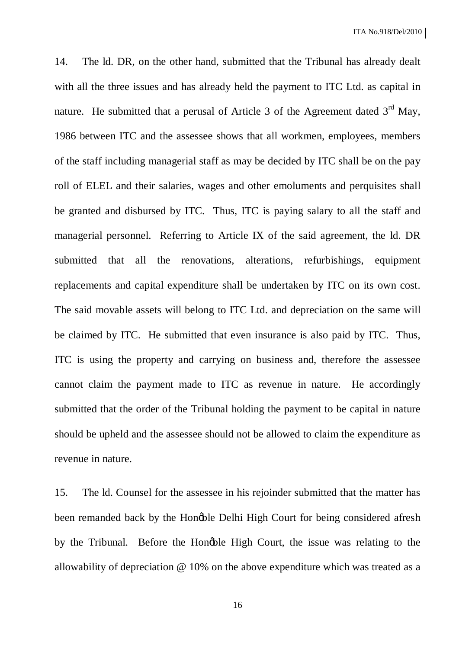14. The ld. DR, on the other hand, submitted that the Tribunal has already dealt with all the three issues and has already held the payment to ITC Ltd. as capital in nature. He submitted that a perusal of Article 3 of the Agreement dated  $3<sup>rd</sup>$  May, 1986 between ITC and the assessee shows that all workmen, employees, members of the staff including managerial staff as may be decided by ITC shall be on the pay roll of ELEL and their salaries, wages and other emoluments and perquisites shall be granted and disbursed by ITC. Thus, ITC is paying salary to all the staff and managerial personnel. Referring to Article IX of the said agreement, the ld. DR submitted that all the renovations, alterations, refurbishings, equipment replacements and capital expenditure shall be undertaken by ITC on its own cost. The said movable assets will belong to ITC Ltd. and depreciation on the same will be claimed by ITC. He submitted that even insurance is also paid by ITC. Thus, ITC is using the property and carrying on business and, therefore the assessee cannot claim the payment made to ITC as revenue in nature. He accordingly submitted that the order of the Tribunal holding the payment to be capital in nature should be upheld and the assessee should not be allowed to claim the expenditure as revenue in nature.

15. The ld. Counsel for the assessee in his rejoinder submitted that the matter has been remanded back by the Hongble Delhi High Court for being considered afresh by the Tribunal. Before the Hongble High Court, the issue was relating to the allowability of depreciation @ 10% on the above expenditure which was treated as a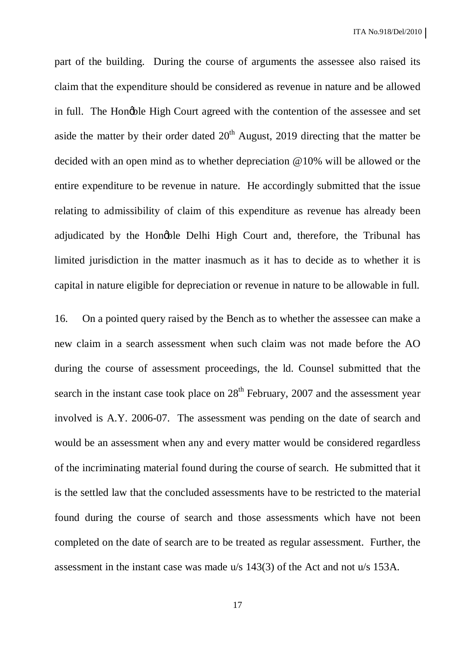part of the building. During the course of arguments the assessee also raised its claim that the expenditure should be considered as revenue in nature and be allowed in full. The Hongble High Court agreed with the contention of the assessee and set aside the matter by their order dated  $20<sup>th</sup>$  August, 2019 directing that the matter be decided with an open mind as to whether depreciation @10% will be allowed or the entire expenditure to be revenue in nature. He accordingly submitted that the issue relating to admissibility of claim of this expenditure as revenue has already been adjudicated by the Hongble Delhi High Court and, therefore, the Tribunal has limited jurisdiction in the matter inasmuch as it has to decide as to whether it is capital in nature eligible for depreciation or revenue in nature to be allowable in full.

16. On a pointed query raised by the Bench as to whether the assessee can make a new claim in a search assessment when such claim was not made before the AO during the course of assessment proceedings, the ld. Counsel submitted that the search in the instant case took place on  $28<sup>th</sup>$  February, 2007 and the assessment year involved is A.Y. 2006-07. The assessment was pending on the date of search and would be an assessment when any and every matter would be considered regardless of the incriminating material found during the course of search. He submitted that it is the settled law that the concluded assessments have to be restricted to the material found during the course of search and those assessments which have not been completed on the date of search are to be treated as regular assessment. Further, the assessment in the instant case was made u/s 143(3) of the Act and not u/s 153A.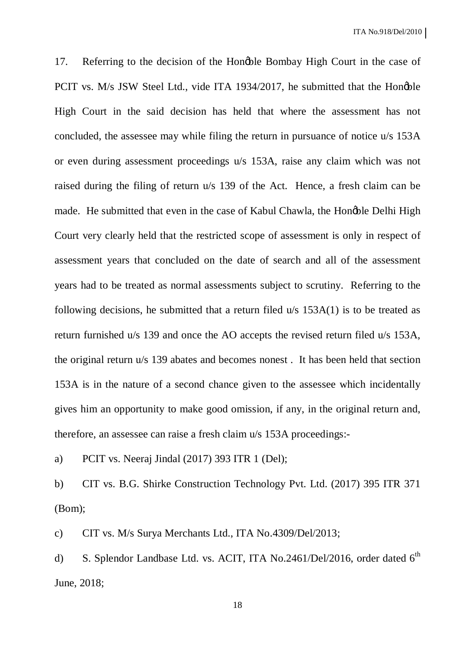17. Referring to the decision of the Hongble Bombay High Court in the case of PCIT vs. M/s JSW Steel Ltd., vide ITA 1934/2017, he submitted that the Hongble High Court in the said decision has held that where the assessment has not concluded, the assessee may while filing the return in pursuance of notice u/s 153A or even during assessment proceedings u/s 153A, raise any claim which was not raised during the filing of return u/s 139 of the Act. Hence, a fresh claim can be made. He submitted that even in the case of Kabul Chawla, the Hongble Delhi High Court very clearly held that the restricted scope of assessment is only in respect of assessment years that concluded on the date of search and all of the assessment years had to be treated as normal assessments subject to scrutiny. Referring to the following decisions, he submitted that a return filed u/s 153A(1) is to be treated as return furnished u/s 139 and once the AO accepts the revised return filed u/s 153A, the original return u/s 139 abates and becomes nonest . It has been held that section 153A is in the nature of a second chance given to the assessee which incidentally gives him an opportunity to make good omission, if any, in the original return and, therefore, an assessee can raise a fresh claim u/s 153A proceedings:-

a) PCIT vs. Neeraj Jindal (2017) 393 ITR 1 (Del);

b) CIT vs. B.G. Shirke Construction Technology Pvt. Ltd. (2017) 395 ITR 371 (Bom);

c) CIT vs. M/s Surya Merchants Ltd., ITA No.4309/Del/2013;

d) S. Splendor Landbase Ltd. vs. ACIT, ITA No.2461/Del/2016, order dated  $6<sup>th</sup>$ June, 2018;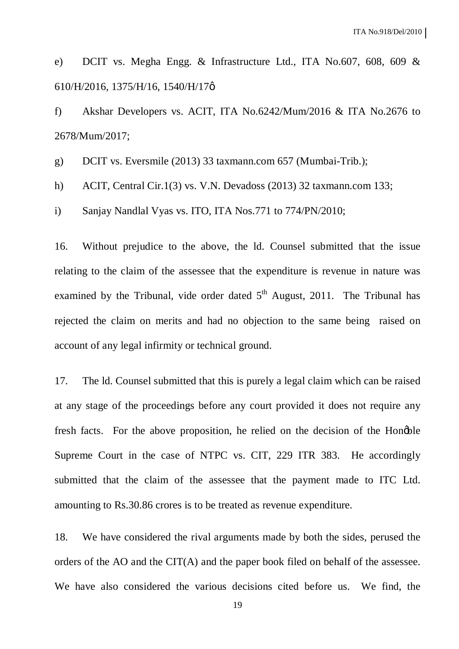e) DCIT vs. Megha Engg. & Infrastructure Ltd., ITA No.607, 608, 609 & 610/H/2016, 1375/H/16, 1540/H/17 $\phi$ 

f) Akshar Developers vs. ACIT, ITA No.6242/Mum/2016 & ITA No.2676 to 2678/Mum/2017;

g) DCIT vs. Eversmile (2013) 33 taxmann.com 657 (Mumbai-Trib.);

h) ACIT, Central Cir.1(3) vs. V.N. Devadoss (2013) 32 taxmann.com 133;

i) Sanjay Nandlal Vyas vs. ITO, ITA Nos.771 to 774/PN/2010;

16. Without prejudice to the above, the ld. Counsel submitted that the issue relating to the claim of the assessee that the expenditure is revenue in nature was examined by the Tribunal, vide order dated  $5<sup>th</sup>$  August, 2011. The Tribunal has rejected the claim on merits and had no objection to the same being raised on account of any legal infirmity or technical ground.

17. The ld. Counsel submitted that this is purely a legal claim which can be raised at any stage of the proceedings before any court provided it does not require any fresh facts. For the above proposition, he relied on the decision of the Hongble Supreme Court in the case of NTPC vs. CIT, 229 ITR 383. He accordingly submitted that the claim of the assessee that the payment made to ITC Ltd. amounting to Rs.30.86 crores is to be treated as revenue expenditure.

18. We have considered the rival arguments made by both the sides, perused the orders of the AO and the CIT(A) and the paper book filed on behalf of the assessee. We have also considered the various decisions cited before us. We find, the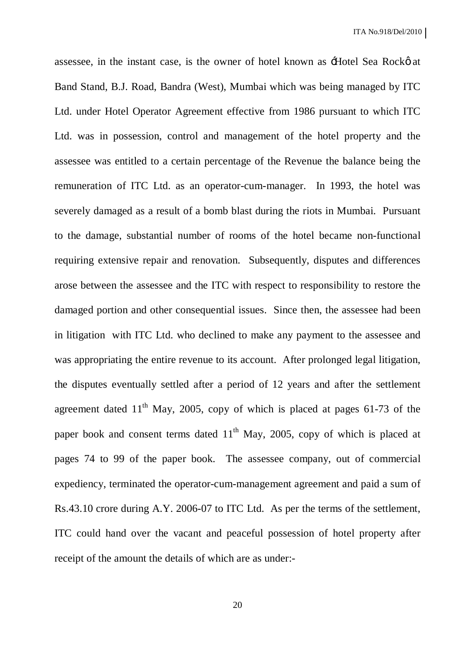assessee, in the instant case, is the owner of hotel known as  $\pm$  Hotel Sea Rockø at Band Stand, B.J. Road, Bandra (West), Mumbai which was being managed by ITC Ltd. under Hotel Operator Agreement effective from 1986 pursuant to which ITC Ltd. was in possession, control and management of the hotel property and the assessee was entitled to a certain percentage of the Revenue the balance being the remuneration of ITC Ltd. as an operator-cum-manager. In 1993, the hotel was severely damaged as a result of a bomb blast during the riots in Mumbai. Pursuant to the damage, substantial number of rooms of the hotel became non-functional requiring extensive repair and renovation. Subsequently, disputes and differences arose between the assessee and the ITC with respect to responsibility to restore the damaged portion and other consequential issues. Since then, the assessee had been in litigation with ITC Ltd. who declined to make any payment to the assessee and was appropriating the entire revenue to its account. After prolonged legal litigation, the disputes eventually settled after a period of 12 years and after the settlement agreement dated  $11<sup>th</sup>$  May, 2005, copy of which is placed at pages 61-73 of the paper book and consent terms dated  $11<sup>th</sup>$  May, 2005, copy of which is placed at pages 74 to 99 of the paper book. The assessee company, out of commercial expediency, terminated the operator-cum-management agreement and paid a sum of Rs.43.10 crore during A.Y. 2006-07 to ITC Ltd. As per the terms of the settlement, ITC could hand over the vacant and peaceful possession of hotel property after receipt of the amount the details of which are as under:-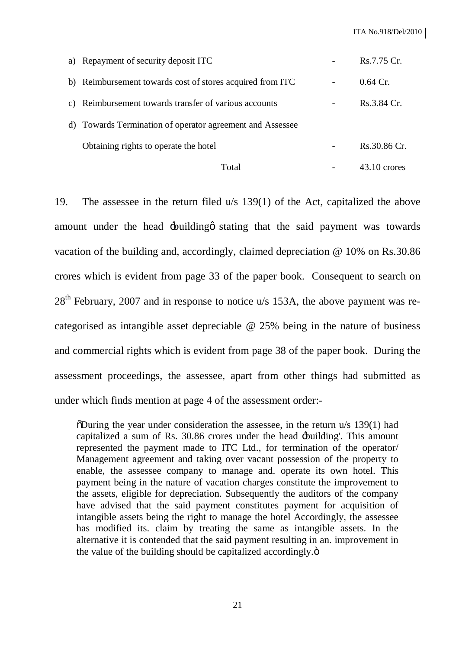| Total                                                     | 43.10 crores  |
|-----------------------------------------------------------|---------------|
| Obtaining rights to operate the hotel                     | Rs.30.86 Cr.  |
| d) Towards Termination of operator agreement and Assessee |               |
| c) Reimbursement towards transfer of various accounts     | Rs.3.84 Cr.   |
| b) Reimbursement towards cost of stores acquired from ITC | $0.64 \,$ Cr. |
| a) Repayment of security deposit ITC                      | Rs.7.75 Cr.   |

19. The assessee in the return filed u/s 139(1) of the Act, capitalized the above amount under the head  $\pm$ building that the said payment was towards vacation of the building and, accordingly, claimed depreciation @ 10% on Rs.30.86 crores which is evident from page 33 of the paper book. Consequent to search on  $28<sup>th</sup>$  February, 2007 and in response to notice u/s 153A, the above payment was recategorised as intangible asset depreciable @ 25% being in the nature of business and commercial rights which is evident from page 38 of the paper book. During the assessment proceedings, the assessee, apart from other things had submitted as under which finds mention at page 4 of the assessment order:-

 $\delta$ During the year under consideration the assessee, in the return u/s 139(1) had capitalized a sum of Rs. 30.86 crores under the head 'building'. This amount represented the payment made to ITC Ltd., for termination of the operator/ Management agreement and taking over vacant possession of the property to enable, the assessee company to manage and. operate its own hotel. This payment being in the nature of vacation charges constitute the improvement to the assets, eligible for depreciation. Subsequently the auditors of the company have advised that the said payment constitutes payment for acquisition of intangible assets being the right to manage the hotel Accordingly, the assessee has modified its. claim by treating the same as intangible assets. In the alternative it is contended that the said payment resulting in an. improvement in the value of the building should be capitalized accordingly. $\ddot{o}$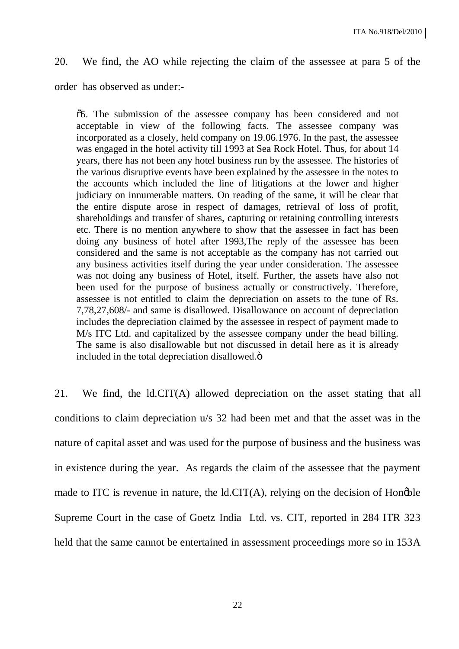#### 20. We find, the AO while rejecting the claim of the assessee at para 5 of the

order has observed as under:-

"5. The submission of the assessee company has been considered and not acceptable in view of the following facts. The assessee company was incorporated as a closely, held company on 19.06.1976. In the past, the assessee was engaged in the hotel activity till 1993 at Sea Rock Hotel. Thus, for about 14 years, there has not been any hotel business run by the assessee. The histories of the various disruptive events have been explained by the assessee in the notes to the accounts which included the line of litigations at the lower and higher judiciary on innumerable matters. On reading of the same, it will be clear that the entire dispute arose in respect of damages, retrieval of loss of profit, shareholdings and transfer of shares, capturing or retaining controlling interests etc. There is no mention anywhere to show that the assessee in fact has been doing any business of hotel after 1993,The reply of the assessee has been considered and the same is not acceptable as the company has not carried out any business activities itself during the year under consideration. The assessee was not doing any business of Hotel, itself. Further, the assets have also not been used for the purpose of business actually or constructively. Therefore, assessee is not entitled to claim the depreciation on assets to the tune of Rs. 7,78,27,608/- and same is disallowed. Disallowance on account of depreciation includes the depreciation claimed by the assessee in respect of payment made to M/s ITC Ltd. and capitalized by the assessee company under the head billing. The same is also disallowable but not discussed in detail here as it is already included in the total depreciation disallowed. $\ddot{o}$ 

21. We find, the ld.CIT(A) allowed depreciation on the asset stating that all conditions to claim depreciation u/s 32 had been met and that the asset was in the nature of capital asset and was used for the purpose of business and the business was in existence during the year. As regards the claim of the assessee that the payment made to ITC is revenue in nature, the  $ld.CIT(A)$ , relying on the decision of Hongble Supreme Court in the case of Goetz India Ltd. vs. CIT, reported in 284 ITR 323 held that the same cannot be entertained in assessment proceedings more so in 153A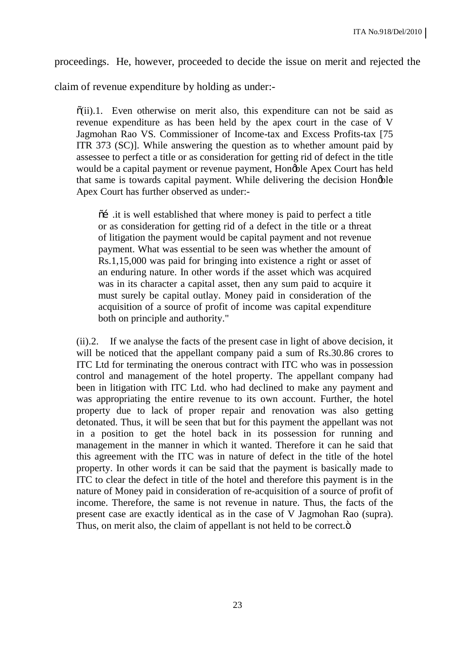proceedings. He, however, proceeded to decide the issue on merit and rejected the

claim of revenue expenditure by holding as under:-

 $\tilde{o}(ii)$ .1. Even otherwise on merit also, this expenditure can not be said as revenue expenditure as has been held by the apex court in the case of V Jagmohan Rao VS. Commissioner of Income-tax and Excess Profits-tax [75 ITR 373 (SC)]. While answering the question as to whether amount paid by assessee to perfect a title or as consideration for getting rid of defect in the title would be a capital payment or revenue payment, Honoble Apex Court has held that same is towards capital payment. While delivering the decision Hongble Apex Court has further observed as under:-

 $\tilde{\text{o}}$  it is well established that where money is paid to perfect a title or as consideration for getting rid of a defect in the title or a threat of litigation the payment would be capital payment and not revenue payment. What was essential to be seen was whether the amount of Rs.1,15,000 was paid for bringing into existence a right or asset of an enduring nature. In other words if the asset which was acquired was in its character a capital asset, then any sum paid to acquire it must surely be capital outlay. Money paid in consideration of the acquisition of a source of profit of income was capital expenditure both on principle and authority."

(ii).2. If we analyse the facts of the present case in light of above decision, it will be noticed that the appellant company paid a sum of Rs.30.86 crores to ITC Ltd for terminating the onerous contract with ITC who was in possession control and management of the hotel property. The appellant company had been in litigation with ITC Ltd. who had declined to make any payment and was appropriating the entire revenue to its own account. Further, the hotel property due to lack of proper repair and renovation was also getting detonated. Thus, it will be seen that but for this payment the appellant was not in a position to get the hotel back in its possession for running and management in the manner in which it wanted. Therefore it can he said that this agreement with the ITC was in nature of defect in the title of the hotel property. In other words it can be said that the payment is basically made to ITC to clear the defect in title of the hotel and therefore this payment is in the nature of Money paid in consideration of re-acquisition of a source of profit of income. Therefore, the same is not revenue in nature. Thus, the facts of the present case are exactly identical as in the case of V Jagmohan Rao (supra). Thus, on merit also, the claim of appellant is not held to be correct. $\ddot{o}$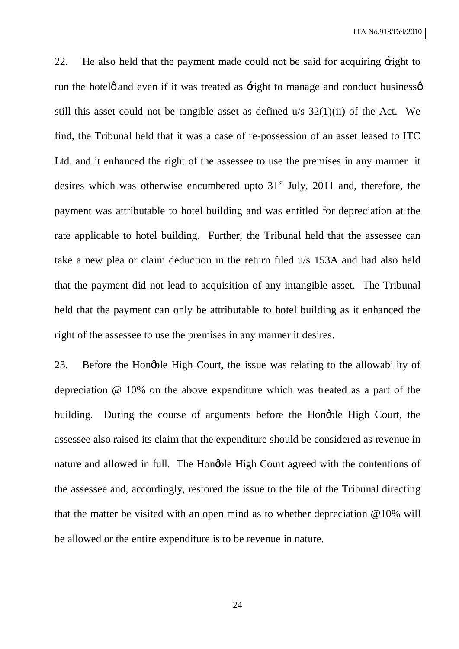22. He also held that the payment made could not be said for acquiring  $\pm$ ight to run the hotele and even if it was treated as  $\pm$  right to manage and conduct businesse still this asset could not be tangible asset as defined  $u/s$  32(1)(ii) of the Act. We find, the Tribunal held that it was a case of re-possession of an asset leased to ITC Ltd. and it enhanced the right of the assessee to use the premises in any manner it desires which was otherwise encumbered upto  $31<sup>st</sup>$  July, 2011 and, therefore, the payment was attributable to hotel building and was entitled for depreciation at the rate applicable to hotel building. Further, the Tribunal held that the assessee can take a new plea or claim deduction in the return filed u/s 153A and had also held that the payment did not lead to acquisition of any intangible asset. The Tribunal held that the payment can only be attributable to hotel building as it enhanced the right of the assessee to use the premises in any manner it desires.

23. Before the Hongble High Court, the issue was relating to the allowability of depreciation @ 10% on the above expenditure which was treated as a part of the building. During the course of arguments before the Hongble High Court, the assessee also raised its claim that the expenditure should be considered as revenue in nature and allowed in full. The Hongble High Court agreed with the contentions of the assessee and, accordingly, restored the issue to the file of the Tribunal directing that the matter be visited with an open mind as to whether depreciation @10% will be allowed or the entire expenditure is to be revenue in nature.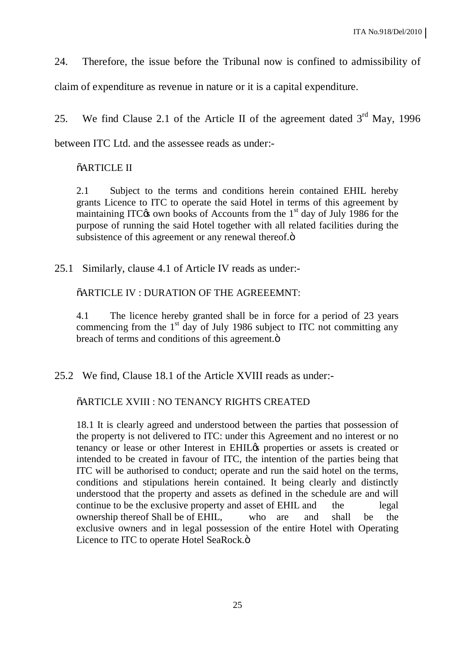24. Therefore, the issue before the Tribunal now is confined to admissibility of

claim of expenditure as revenue in nature or it is a capital expenditure.

25. We find Clause 2.1 of the Article II of the agreement dated  $3<sup>rd</sup>$  May, 1996

between ITC Ltd. and the assessee reads as under:-

#### $\tilde{o}$ ARTICLE II

2.1 Subject to the terms and conditions herein contained EHIL hereby grants Licence to ITC to operate the said Hotel in terms of this agreement by maintaining ITC $\alpha$  own books of Accounts from the 1<sup>st</sup> day of July 1986 for the purpose of running the said Hotel together with all related facilities during the subsistence of this agreement or any renewal thereof. $\ddot{o}$ 

25.1 Similarly, clause 4.1 of Article IV reads as under:-

 $\tilde{o}$ ARTICLE IV : DURATION OF THE AGREEEMNT:

4.1 The licence hereby granted shall be in force for a period of 23 years commencing from the  $1<sup>st</sup>$  day of July 1986 subject to ITC not committing any breach of terms and conditions of this agreement. $\ddot{o}$ 

25.2 We find, Clause 18.1 of the Article XVIII reads as under:-

#### "ARTICLE XVIII : NO TENANCY RIGHTS CREATED

18.1 It is clearly agreed and understood between the parties that possession of the property is not delivered to ITC: under this Agreement and no interest or no tenancy or lease or other Interest in EHIL $\alpha$  properties or assets is created or intended to be created in favour of ITC, the intention of the parties being that ITC will be authorised to conduct; operate and run the said hotel on the terms, conditions and stipulations herein contained. It being clearly and distinctly understood that the property and assets as defined in the schedule are and will continue to be the exclusive property and asset of EHIL and the legal ownership thereof Shall be of EHIL, who are and shall be the exclusive owners and in legal possession of the entire Hotel with Operating Licence to ITC to operate Hotel SeaRock. $\ddot{o}$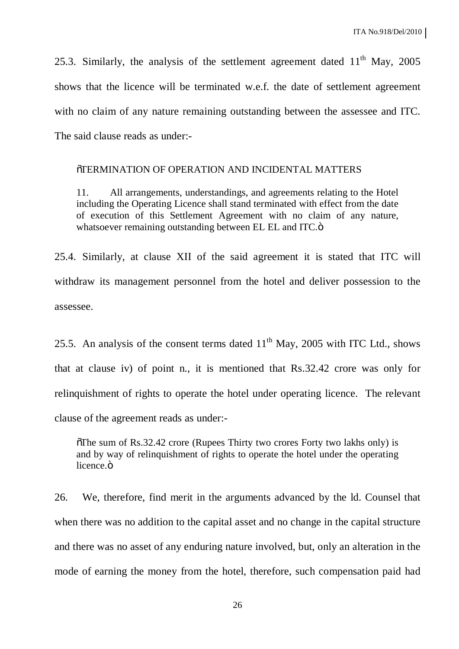25.3. Similarly, the analysis of the settlement agreement dated  $11<sup>th</sup>$  May, 2005 shows that the licence will be terminated w.e.f. the date of settlement agreement with no claim of any nature remaining outstanding between the assessee and ITC. The said clause reads as under:-

#### "TERMINATION OF OPERATION AND INCIDENTAL MATTERS

11. All arrangements, understandings, and agreements relating to the Hotel including the Operating Licence shall stand terminated with effect from the date of execution of this Settlement Agreement with no claim of any nature, whatsoever remaining outstanding between EL EL and ITC. $\ddot{o}$ 

25.4. Similarly, at clause XII of the said agreement it is stated that ITC will withdraw its management personnel from the hotel and deliver possession to the assessee.

25.5. An analysis of the consent terms dated  $11<sup>th</sup>$  May, 2005 with ITC Ltd., shows that at clause iv) of point n., it is mentioned that Rs.32.42 crore was only for relinquishment of rights to operate the hotel under operating licence. The relevant clause of the agreement reads as under:-

 $\sigma$ The sum of Rs.32.42 crore (Rupees Thirty two crores Forty two lakhs only) is and by way of relinquishment of rights to operate the hotel under the operating licence.<sub>ö</sub>

26. We, therefore, find merit in the arguments advanced by the ld. Counsel that when there was no addition to the capital asset and no change in the capital structure and there was no asset of any enduring nature involved, but, only an alteration in the mode of earning the money from the hotel, therefore, such compensation paid had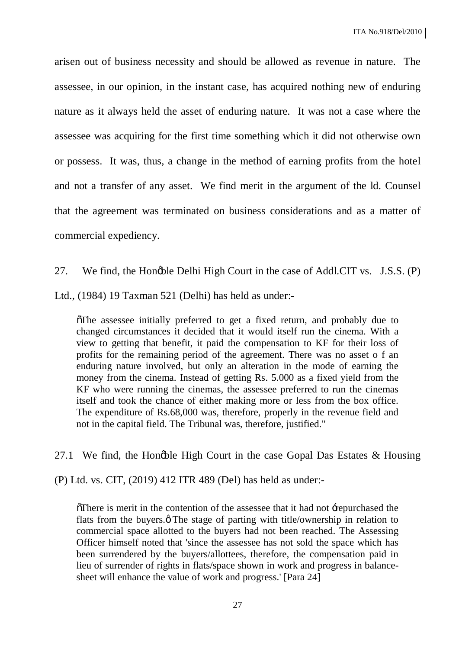arisen out of business necessity and should be allowed as revenue in nature. The assessee, in our opinion, in the instant case, has acquired nothing new of enduring nature as it always held the asset of enduring nature. It was not a case where the assessee was acquiring for the first time something which it did not otherwise own or possess. It was, thus, a change in the method of earning profits from the hotel and not a transfer of any asset. We find merit in the argument of the ld. Counsel that the agreement was terminated on business considerations and as a matter of commercial expediency.

27. We find, the Hongble Delhi High Court in the case of Addl.CIT vs. J.S.S. (P)

Ltd., (1984) 19 Taxman 521 (Delhi) has held as under:-

 $\delta$ The assessee initially preferred to get a fixed return, and probably due to changed circumstances it decided that it would itself run the cinema. With a view to getting that benefit, it paid the compensation to KF for their loss of profits for the remaining period of the agreement. There was no asset o f an enduring nature involved, but only an alteration in the mode of earning the money from the cinema. Instead of getting Rs. 5.000 as a fixed yield from the KF who were running the cinemas, the assessee preferred to run the cinemas itself and took the chance of either making more or less from the box office. The expenditure of Rs.68,000 was, therefore, properly in the revenue field and not in the capital field. The Tribunal was, therefore, justified."

27.1 We find, the Hongble High Court in the case Gopal Das Estates  $\&$  Housing

(P) Ltd. vs. CIT, (2019) 412 ITR 489 (Del) has held as under:-

 $\tilde{\text{or}}$  There is merit in the contention of the assessee that it had not +repurchased the flats from the buyers. $\phi$  The stage of parting with title/ownership in relation to commercial space allotted to the buyers had not been reached. The Assessing Officer himself noted that 'since the assessee has not sold the space which has been surrendered by the buyers/allottees, therefore, the compensation paid in lieu of surrender of rights in flats/space shown in work and progress in balancesheet will enhance the value of work and progress.' [Para 24]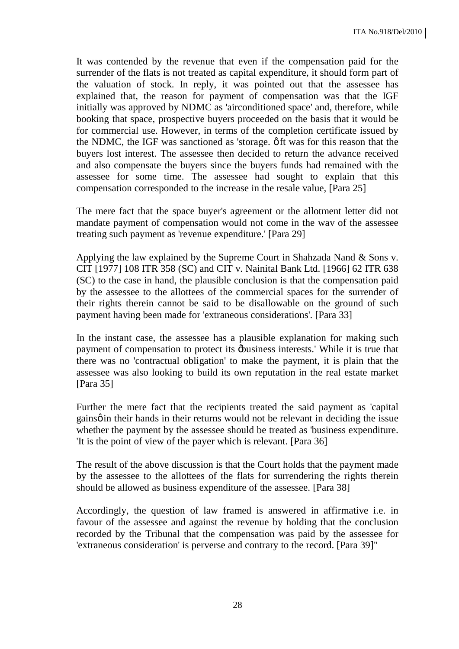It was contended by the revenue that even if the compensation paid for the surrender of the flats is not treated as capital expenditure, it should form part of the valuation of stock. In reply, it was pointed out that the assessee has explained that, the reason for payment of compensation was that the IGF initially was approved by NDMC as 'airconditioned space' and, therefore, while booking that space, prospective buyers proceeded on the basis that it would be for commercial use. However, in terms of the completion certificate issued by the NDMC, the IGF was sanctioned as 'storage.  $\varphi$  ft was for this reason that the buyers lost interest. The assessee then decided to return the advance received and also compensate the buyers since the buyers funds had remained with the assessee for some time. The assessee had sought to explain that this compensation corresponded to the increase in the resale value, [Para 25]

The mere fact that the space buyer's agreement or the allotment letter did not mandate payment of compensation would not come in the wav of the assessee treating such payment as 'revenue expenditure.' [Para 29]

Applying the law explained by the Supreme Court in Shahzada Nand & Sons v. CIT [1977] 108 ITR 358 (SC) and CIT v. Nainital Bank Ltd. [1966] 62 ITR 638 (SC) to the case in hand, the plausible conclusion is that the compensation paid by the assessee to the allottees of the commercial spaces for the surrender of their rights therein cannot be said to be disallowable on the ground of such payment having been made for 'extraneous considerations'. [Para 33]

In the instant case, the assessee has a plausible explanation for making such payment of compensation to protect its  $\phi$ usiness interests.' While it is true that there was no 'contractual obligation' to make the payment, it is plain that the assessee was also looking to build its own reputation in the real estate market [Para 35]

Further the mere fact that the recipients treated the said payment as 'capital gains o in their hands in their returns would not be relevant in deciding the issue whether the payment by the assessee should be treated as 'business expenditure. 'It is the point of view of the payer which is relevant. [Para 36]

The result of the above discussion is that the Court holds that the payment made by the assessee to the allottees of the flats for surrendering the rights therein should be allowed as business expenditure of the assessee. [Para 38]

Accordingly, the question of law framed is answered in affirmative i.e. in favour of the assessee and against the revenue by holding that the conclusion recorded by the Tribunal that the compensation was paid by the assessee for 'extraneous consideration' is perverse and contrary to the record. [Para 39]"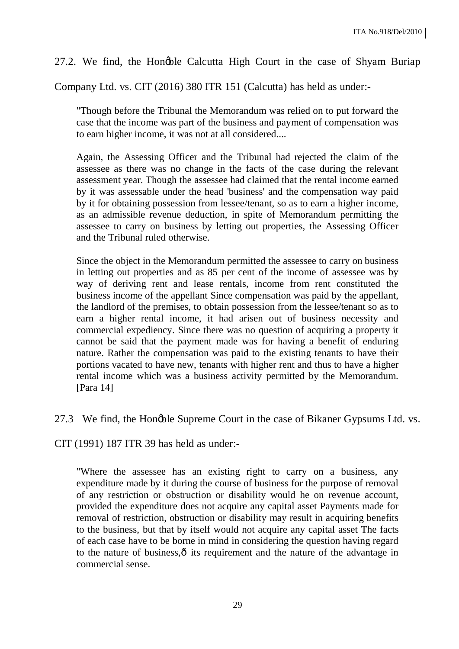27.2. We find, the Hongble Calcutta High Court in the case of Shyam Buriap

Company Ltd. vs. CIT (2016) 380 ITR 151 (Calcutta) has held as under:-

"Though before the Tribunal the Memorandum was relied on to put forward the case that the income was part of the business and payment of compensation was to earn higher income, it was not at all considered....

Again, the Assessing Officer and the Tribunal had rejected the claim of the assessee as there was no change in the facts of the case during the relevant assessment year. Though the assessee had claimed that the rental income earned by it was assessable under the head 'business' and the compensation way paid by it for obtaining possession from lessee/tenant, so as to earn a higher income, as an admissible revenue deduction, in spite of Memorandum permitting the assessee to carry on business by letting out properties, the Assessing Officer and the Tribunal ruled otherwise.

Since the object in the Memorandum permitted the assessee to carry on business in letting out properties and as 85 per cent of the income of assessee was by way of deriving rent and lease rentals, income from rent constituted the business income of the appellant Since compensation was paid by the appellant, the landlord of the premises, to obtain possession from the lessee/tenant so as to earn a higher rental income, it had arisen out of business necessity and commercial expediency. Since there was no question of acquiring a property it cannot be said that the payment made was for having a benefit of enduring nature. Rather the compensation was paid to the existing tenants to have their portions vacated to have new, tenants with higher rent and thus to have a higher rental income which was a business activity permitted by the Memorandum. [Para 14]

27.3 We find, the Hongble Supreme Court in the case of Bikaner Gypsums Ltd. vs.

CIT (1991) 187 ITR 39 has held as under:-

"Where the assessee has an existing right to carry on a business, any expenditure made by it during the course of business for the purpose of removal of any restriction or obstruction or disability would he on revenue account, provided the expenditure does not acquire any capital asset Payments made for removal of restriction, obstruction or disability may result in acquiring benefits to the business, but that by itself would not acquire any capital asset The facts of each case have to be borne in mind in considering the question having regard to the nature of business, $\hat{o}$  its requirement and the nature of the advantage in commercial sense.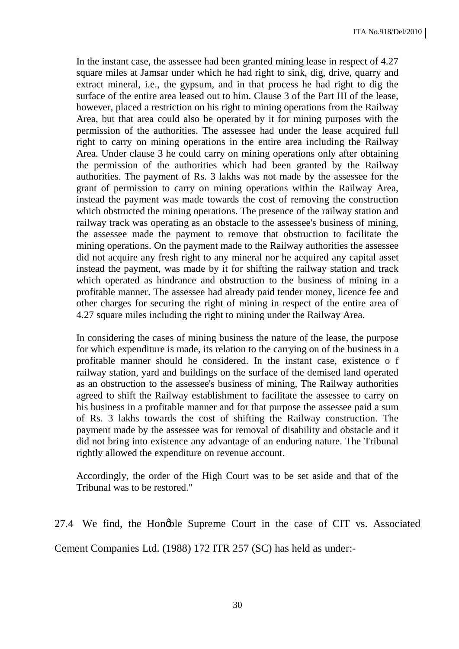In the instant case, the assessee had been granted mining lease in respect of 4.27 square miles at Jamsar under which he had right to sink, dig, drive, quarry and extract mineral, i.e., the gypsum, and in that process he had right to dig the surface of the entire area leased out to him. Clause 3 of the Part III of the lease, however, placed a restriction on his right to mining operations from the Railway Area, but that area could also be operated by it for mining purposes with the permission of the authorities. The assessee had under the lease acquired full right to carry on mining operations in the entire area including the Railway Area. Under clause 3 he could carry on mining operations only after obtaining the permission of the authorities which had been granted by the Railway authorities. The payment of Rs. 3 lakhs was not made by the assessee for the grant of permission to carry on mining operations within the Railway Area, instead the payment was made towards the cost of removing the construction which obstructed the mining operations. The presence of the railway station and railway track was operating as an obstacle to the assessee's business of mining, the assessee made the payment to remove that obstruction to facilitate the mining operations. On the payment made to the Railway authorities the assessee did not acquire any fresh right to any mineral nor he acquired any capital asset instead the payment, was made by it for shifting the railway station and track which operated as hindrance and obstruction to the business of mining in a profitable manner. The assessee had already paid tender money, licence fee and other charges for securing the right of mining in respect of the entire area of 4.27 square miles including the right to mining under the Railway Area.

In considering the cases of mining business the nature of the lease, the purpose for which expenditure is made, its relation to the carrying on of the business in a profitable manner should he considered. In the instant case, existence o f railway station, yard and buildings on the surface of the demised land operated as an obstruction to the assessee's business of mining, The Railway authorities agreed to shift the Railway establishment to facilitate the assessee to carry on his business in a profitable manner and for that purpose the assessee paid a sum of Rs. 3 lakhs towards the cost of shifting the Railway construction. The payment made by the assessee was for removal of disability and obstacle and it did not bring into existence any advantage of an enduring nature. The Tribunal rightly allowed the expenditure on revenue account.

Accordingly, the order of the High Court was to be set aside and that of the Tribunal was to be restored."

27.4 We find, the Hongble Supreme Court in the case of CIT vs. Associated Cement Companies Ltd. (1988) 172 ITR 257 (SC) has held as under:-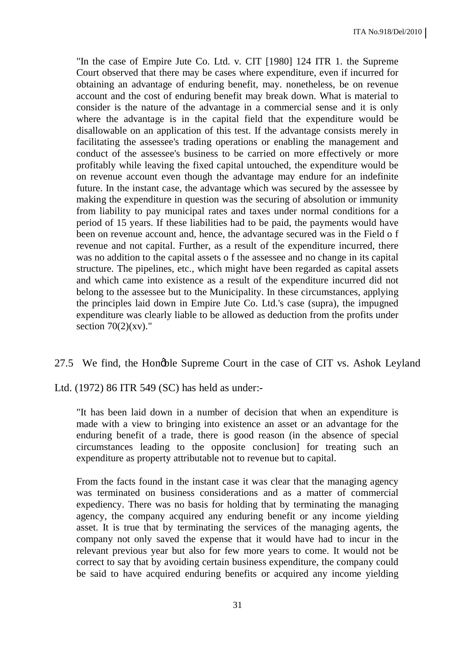"In the case of Empire Jute Co. Ltd. v. CIT [1980] 124 ITR 1. the Supreme Court observed that there may be cases where expenditure, even if incurred for obtaining an advantage of enduring benefit, may. nonetheless, be on revenue account and the cost of enduring benefit may break down. What is material to consider is the nature of the advantage in a commercial sense and it is only where the advantage is in the capital field that the expenditure would be disallowable on an application of this test. If the advantage consists merely in facilitating the assessee's trading operations or enabling the management and conduct of the assessee's business to be carried on more effectively or more profitably while leaving the fixed capital untouched, the expenditure would be on revenue account even though the advantage may endure for an indefinite future. In the instant case, the advantage which was secured by the assessee by making the expenditure in question was the securing of absolution or immunity from liability to pay municipal rates and taxes under normal conditions for a period of 15 years. If these liabilities had to be paid, the payments would have been on revenue account and, hence, the advantage secured was in the Field o f revenue and not capital. Further, as a result of the expenditure incurred, there was no addition to the capital assets o f the assessee and no change in its capital structure. The pipelines, etc., which might have been regarded as capital assets and which came into existence as a result of the expenditure incurred did not belong to the assessee but to the Municipality. In these circumstances, applying the principles laid down in Empire Jute Co. Ltd.'s case (supra), the impugned expenditure was clearly liable to be allowed as deduction from the profits under section  $70(2)(xy)$ ."

#### 27.5 We find, the Hongble Supreme Court in the case of CIT vs. Ashok Leyland

Ltd. (1972) 86 ITR 549 (SC) has held as under:-

"It has been laid down in a number of decision that when an expenditure is made with a view to bringing into existence an asset or an advantage for the enduring benefit of a trade, there is good reason (in the absence of special circumstances leading to the opposite conclusion] for treating such an expenditure as property attributable not to revenue but to capital.

From the facts found in the instant case it was clear that the managing agency was terminated on business considerations and as a matter of commercial expediency. There was no basis for holding that by terminating the managing agency, the company acquired any enduring benefit or any income yielding asset. It is true that by terminating the services of the managing agents, the company not only saved the expense that it would have had to incur in the relevant previous year but also for few more years to come. It would not be correct to say that by avoiding certain business expenditure, the company could be said to have acquired enduring benefits or acquired any income yielding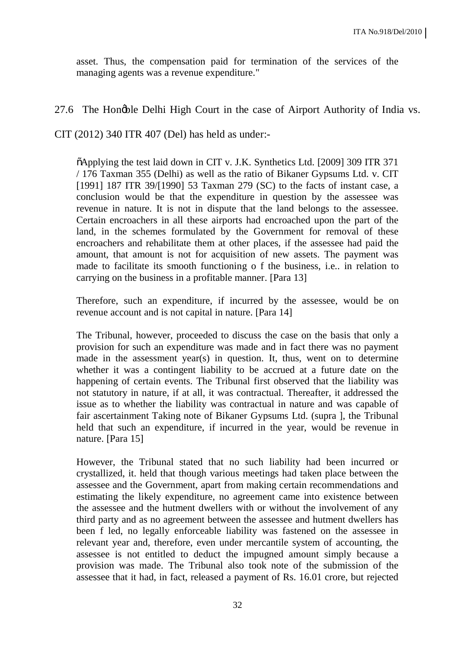asset. Thus, the compensation paid for termination of the services of the managing agents was a revenue expenditure."

#### 27.6 The Hongble Delhi High Court in the case of Airport Authority of India vs.

CIT (2012) 340 ITR 407 (Del) has held as under:-

"Applying the test laid down in CIT v. J.K. Synthetics Ltd. [2009] 309 ITR 371 / 176 Taxman 355 (Delhi) as well as the ratio of Bikaner Gypsums Ltd. v. CIT [1991] 187 ITR 39/[1990] 53 Taxman 279 (SC) to the facts of instant case, a conclusion would be that the expenditure in question by the assessee was revenue in nature. It is not in dispute that the land belongs to the assessee. Certain encroachers in all these airports had encroached upon the part of the land, in the schemes formulated by the Government for removal of these encroachers and rehabilitate them at other places, if the assessee had paid the amount, that amount is not for acquisition of new assets. The payment was made to facilitate its smooth functioning o f the business, i.e.. in relation to carrying on the business in a profitable manner. [Para 13]

Therefore, such an expenditure, if incurred by the assessee, would be on revenue account and is not capital in nature. [Para 14]

The Tribunal, however, proceeded to discuss the case on the basis that only a provision for such an expenditure was made and in fact there was no payment made in the assessment year(s) in question. It, thus, went on to determine whether it was a contingent liability to be accrued at a future date on the happening of certain events. The Tribunal first observed that the liability was not statutory in nature, if at all, it was contractual. Thereafter, it addressed the issue as to whether the liability was contractual in nature and was capable of fair ascertainment Taking note of Bikaner Gypsums Ltd. (supra ], the Tribunal held that such an expenditure, if incurred in the year, would be revenue in nature. [Para 15]

However, the Tribunal stated that no such liability had been incurred or crystallized, it. held that though various meetings had taken place between the assessee and the Government, apart from making certain recommendations and estimating the likely expenditure, no agreement came into existence between the assessee and the hutment dwellers with or without the involvement of any third party and as no agreement between the assessee and hutment dwellers has been f led, no legally enforceable liability was fastened on the assessee in relevant year and, therefore, even under mercantile system of accounting, the assessee is not entitled to deduct the impugned amount simply because a provision was made. The Tribunal also took note of the submission of the assessee that it had, in fact, released a payment of Rs. 16.01 crore, but rejected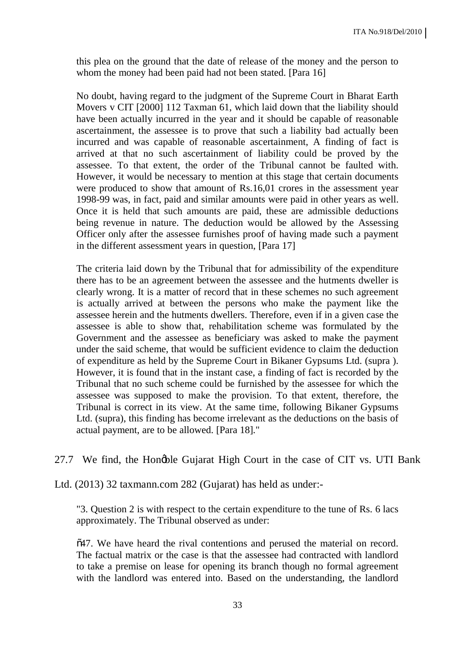this plea on the ground that the date of release of the money and the person to whom the money had been paid had not been stated. [Para 16]

No doubt, having regard to the judgment of the Supreme Court in Bharat Earth Movers v CIT [2000] 112 Taxman 61, which laid down that the liability should have been actually incurred in the year and it should be capable of reasonable ascertainment, the assessee is to prove that such a liability bad actually been incurred and was capable of reasonable ascertainment, A finding of fact is arrived at that no such ascertainment of liability could be proved by the assessee. To that extent, the order of the Tribunal cannot be faulted with. However, it would be necessary to mention at this stage that certain documents were produced to show that amount of Rs.16,01 crores in the assessment year 1998-99 was, in fact, paid and similar amounts were paid in other years as well. Once it is held that such amounts are paid, these are admissible deductions being revenue in nature. The deduction would be allowed by the Assessing Officer only after the assessee furnishes proof of having made such a payment in the different assessment years in question, [Para 17]

The criteria laid down by the Tribunal that for admissibility of the expenditure there has to be an agreement between the assessee and the hutments dweller is clearly wrong. It is a matter of record that in these schemes no such agreement is actually arrived at between the persons who make the payment like the assessee herein and the hutments dwellers. Therefore, even if in a given case the assessee is able to show that, rehabilitation scheme was formulated by the Government and the assessee as beneficiary was asked to make the payment under the said scheme, that would be sufficient evidence to claim the deduction of expenditure as held by the Supreme Court in Bikaner Gypsums Ltd. (supra ). However, it is found that in the instant case, a finding of fact is recorded by the Tribunal that no such scheme could be furnished by the assessee for which the assessee was supposed to make the provision. To that extent, therefore, the Tribunal is correct in its view. At the same time, following Bikaner Gypsums Ltd. (supra), this finding has become irrelevant as the deductions on the basis of actual payment, are to be allowed. [Para 18]."

27.7 We find, the Hongble Gujarat High Court in the case of CIT vs. UTI Bank

Ltd. (2013) 32 taxmann.com 282 (Gujarat) has held as under:-

"3. Question 2 is with respect to the certain expenditure to the tune of Rs. 6 lacs approximately. The Tribunal observed as under:

 $647$ . We have heard the rival contentions and perused the material on record. The factual matrix or the case is that the assessee had contracted with landlord to take a premise on lease for opening its branch though no formal agreement with the landlord was entered into. Based on the understanding, the landlord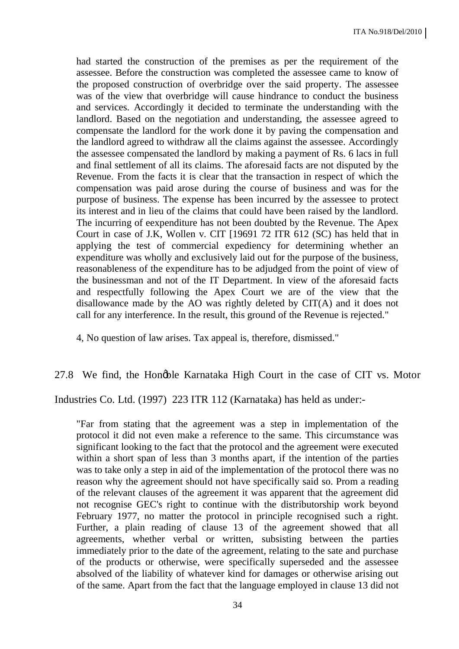had started the construction of the premises as per the requirement of the assessee. Before the construction was completed the assessee came to know of the proposed construction of overbridge over the said property. The assessee was of the view that overbridge will cause hindrance to conduct the business and services. Accordingly it decided to terminate the understanding with the landlord. Based on the negotiation and understanding, the assessee agreed to compensate the landlord for the work done it by paving the compensation and the landlord agreed to withdraw all the claims against the assessee. Accordingly the assessee compensated the landlord by making a payment of Rs. 6 lacs in full and final settlement of all its claims. The aforesaid facts are not disputed by the Revenue. From the facts it is clear that the transaction in respect of which the compensation was paid arose during the course of business and was for the purpose of business. The expense has been incurred by the assessee to protect its interest and in lieu of the claims that could have been raised by the landlord. The incurring of eexpenditure has not been doubted by the Revenue. The Apex Court in case of J.K, Wollen v. CIT [19691 72 ITR 612 (SC) has held that in applying the test of commercial expediency for determining whether an expenditure was wholly and exclusively laid out for the purpose of the business, reasonableness of the expenditure has to be adjudged from the point of view of the businessman and not of the IT Department. In view of the aforesaid facts and respectfully following the Apex Court we are of the view that the disallowance made by the AO was rightly deleted by CIT(A) and it does not call for any interference. In the result, this ground of the Revenue is rejected."

4, No question of law arises. Tax appeal is, therefore, dismissed."

#### 27.8 We find, the Hongble Karnataka High Court in the case of CIT vs. Motor

Industries Co. Ltd. (1997) 223 ITR 112 (Karnataka) has held as under:-

"Far from stating that the agreement was a step in implementation of the protocol it did not even make a reference to the same. This circumstance was significant looking to the fact that the protocol and the agreement were executed within a short span of less than 3 months apart, if the intention of the parties was to take only a step in aid of the implementation of the protocol there was no reason why the agreement should not have specifically said so. Prom a reading of the relevant clauses of the agreement it was apparent that the agreement did not recognise GEC's right to continue with the distributorship work beyond February 1977, no matter the protocol in principle recognised such a right. Further, a plain reading of clause 13 of the agreement showed that all agreements, whether verbal or written, subsisting between the parties immediately prior to the date of the agreement, relating to the sate and purchase of the products or otherwise, were specifically superseded and the assessee absolved of the liability of whatever kind for damages or otherwise arising out of the same. Apart from the fact that the language employed in clause 13 did not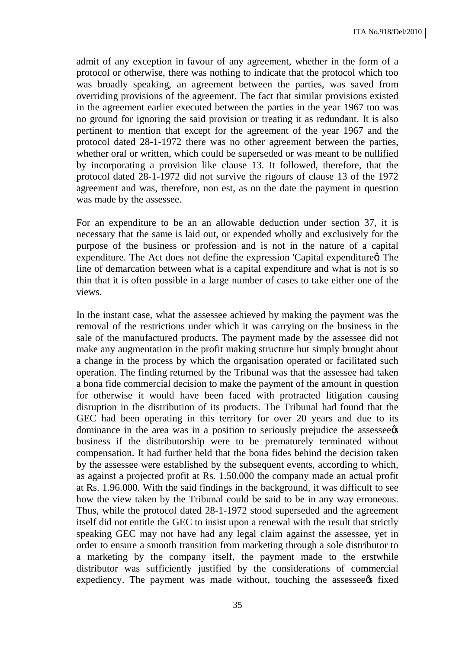admit of any exception in favour of any agreement, whether in the form of a protocol or otherwise, there was nothing to indicate that the protocol which too was broadly speaking, an agreement between the parties, was saved from overriding provisions of the agreement. The fact that similar provisions existed in the agreement earlier executed between the parties in the year 1967 too was no ground for ignoring the said provision or treating it as redundant. It is also pertinent to mention that except for the agreement of the year 1967 and the protocol dated 28-1-1972 there was no other agreement between the parties, whether oral or written, which could be superseded or was meant to be nullified by incorporating a provision like clause 13. It followed, therefore, that the protocol dated 28-1-1972 did not survive the rigours of clause 13 of the 1972 agreement and was, therefore, non est, as on the date the payment in question was made by the assessee.

For an expenditure to be an an allowable deduction under section 37, it is necessary that the same is laid out, or expended wholly and exclusively for the purpose of the business or profession and is not in the nature of a capital expenditure. The Act does not define the expression 'Capital expenditure  $\alpha$  The line of demarcation between what is a capital expenditure and what is not is so thin that it is often possible in a large number of cases to take either one of the views.

In the instant case, what the assessee achieved by making the payment was the removal of the restrictions under which it was carrying on the business in the sale of the manufactured products. The payment made by the assessee did not make any augmentation in the profit making structure hut simply brought about a change in the process by which the organisation operated or facilitated such operation. The finding returned by the Tribunal was that the assessee had taken a bona fide commercial decision to make the payment of the amount in question for otherwise it would have been faced with protracted litigation causing disruption in the distribution of its products. The Tribunal had found that the GEC had been operating in this territory for over 20 years and due to its dominance in the area was in a position to seriously prejudice the assessee  $\alpha$ business if the distributorship were to be prematurely terminated without compensation. It had further held that the bona fides behind the decision taken by the assessee were established by the subsequent events, according to which, as against a projected profit at Rs. 1.50.000 the company made an actual profit at Rs. 1.96.000. With the said findings in the background, it was difficult to see how the view taken by the Tribunal could be said to be in any way erroneous. Thus, while the protocol dated 28-1-1972 stood superseded and the agreement itself did not entitle the GEC to insist upon a renewal with the result that strictly speaking GEC may not have had any legal claim against the assessee, yet in order to ensure a smooth transition from marketing through a sole distributor to a marketing by the company itself, the payment made to the erstwhile distributor was sufficiently justified by the considerations of commercial expediency. The payment was made without, touching the assessee fixed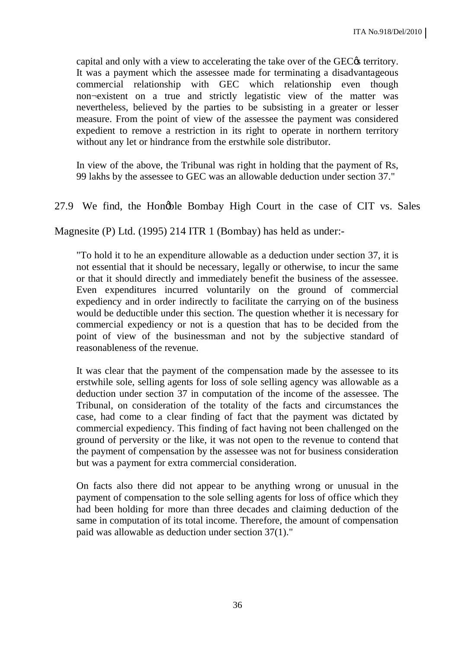capital and only with a view to accelerating the take over of the GEC $\alpha$  territory. It was a payment which the assessee made for terminating a disadvantageous commercial relationship with GEC which relationship even though non¬existent on a true and strictly legatistic view of the matter was nevertheless, believed by the parties to be subsisting in a greater or lesser measure. From the point of view of the assessee the payment was considered expedient to remove a restriction in its right to operate in northern territory without any let or hindrance from the erstwhile sole distributor.

In view of the above, the Tribunal was right in holding that the payment of Rs, 99 lakhs by the assessee to GEC was an allowable deduction under section 37."

27.9 We find, the Hongble Bombay High Court in the case of CIT vs. Sales

Magnesite (P) Ltd. (1995) 214 ITR 1 (Bombay) has held as under:-

"To hold it to he an expenditure allowable as a deduction under section 37, it is not essential that it should be necessary, legally or otherwise, to incur the same or that it should directly and immediately benefit the business of the assessee. Even expenditures incurred voluntarily on the ground of commercial expediency and in order indirectly to facilitate the carrying on of the business would be deductible under this section. The question whether it is necessary for commercial expediency or not is a question that has to be decided from the point of view of the businessman and not by the subjective standard of reasonableness of the revenue.

It was clear that the payment of the compensation made by the assessee to its erstwhile sole, selling agents for loss of sole selling agency was allowable as a deduction under section 37 in computation of the income of the assessee. The Tribunal, on consideration of the totality of the facts and circumstances the case, had come to a clear finding of fact that the payment was dictated by commercial expediency. This finding of fact having not been challenged on the ground of perversity or the like, it was not open to the revenue to contend that the payment of compensation by the assessee was not for business consideration but was a payment for extra commercial consideration.

On facts also there did not appear to be anything wrong or unusual in the payment of compensation to the sole selling agents for loss of office which they had been holding for more than three decades and claiming deduction of the same in computation of its total income. Therefore, the amount of compensation paid was allowable as deduction under section 37(1)."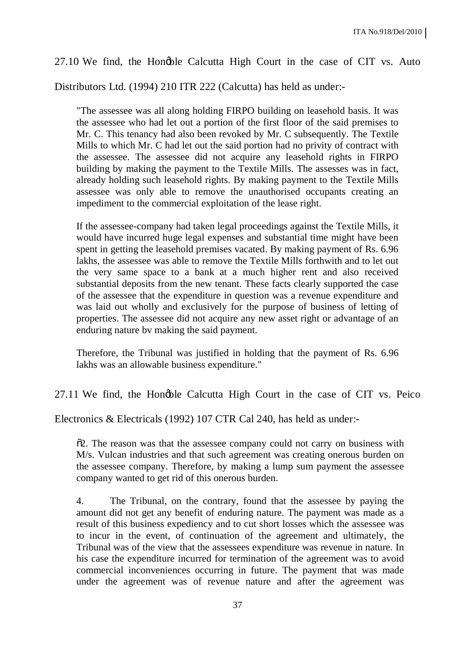#### 27.10 We find, the Hongble Calcutta High Court in the case of CIT vs. Auto

Distributors Ltd. (1994) 210 ITR 222 (Calcutta) has held as under:-

"The assessee was all along holding FIRPO building on leasehold basis. It was the assessee who had let out a portion of the first floor of the said premises to Mr. C. This tenancy had also been revoked by Mr. C subsequently. The Textile Mills to which Mr. C had let out the said portion had no privity of contract with the assessee. The assessee did not acquire any leasehold rights in FIRPO building by making the payment to the Textile Mills. The assesses was in fact, already holding such leasehold rights. By making payment to the Textile Mills assessee was only able to remove the unauthorised occupants creating an impediment to the commercial exploitation of the lease right.

If the assessee-company had taken legal proceedings against the Textile Mills, it would have incurred huge legal expenses and substantial time might have been spent in getting the leasehold premises vacated. By making payment of Rs. 6.96 lakhs, the assessee was able to remove the Textile Mills forthwith and to let out the very same space to a bank at a much higher rent and also received substantial deposits from the new tenant. These facts clearly supported the case of the assessee that the expenditure in question was a revenue expenditure and was laid out wholly and exclusively for the purpose of business of letting of properties. The assessee did not acquire any new asset right or advantage of an enduring nature bv making the said payment.

Therefore, the Tribunal was justified in holding that the payment of Rs. 6.96 lakhs was an allowable business expenditure."

27.11 We find, the Hongble Calcutta High Court in the case of CIT vs. Peico

Electronics & Electricals (1992) 107 CTR Cal 240, has held as under:-

 $\tilde{\sigma}$ . The reason was that the assessee company could not carry on business with M/s. Vulcan industries and that such agreement was creating onerous burden on the assessee company. Therefore, by making a lump sum payment the assessee company wanted to get rid of this onerous burden.

4. The Tribunal, on the contrary, found that the assessee by paying the amount did not get any benefit of enduring nature. The payment was made as a result of this business expediency and to cut short losses which the assessee was to incur in the event, of continuation of the agreement and ultimately, the Tribunal was of the view that the assessees expenditure was revenue in nature. In his case the expenditure incurred for termination of the agreement was to avoid commercial inconveniences occurring in future. The payment that was made under the agreement was of revenue nature and after the agreement was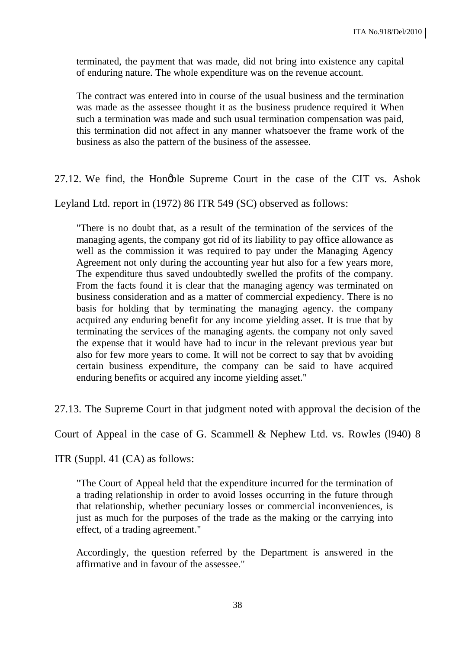terminated, the payment that was made, did not bring into existence any capital of enduring nature. The whole expenditure was on the revenue account.

The contract was entered into in course of the usual business and the termination was made as the assessee thought it as the business prudence required it When such a termination was made and such usual termination compensation was paid, this termination did not affect in any manner whatsoever the frame work of the business as also the pattern of the business of the assessee.

27.12. We find, the Hongble Supreme Court in the case of the CIT vs. Ashok

Leyland Ltd. report in (1972) 86 ITR 549 (SC) observed as follows:

"There is no doubt that, as a result of the termination of the services of the managing agents, the company got rid of its liability to pay office allowance as well as the commission it was required to pay under the Managing Agency Agreement not only during the accounting year hut also for a few years more, The expenditure thus saved undoubtedly swelled the profits of the company. From the facts found it is clear that the managing agency was terminated on business consideration and as a matter of commercial expediency. There is no basis for holding that by terminating the managing agency. the company acquired any enduring benefit for any income yielding asset. It is true that by terminating the services of the managing agents. the company not only saved the expense that it would have had to incur in the relevant previous year but also for few more years to come. It will not be correct to say that bv avoiding certain business expenditure, the company can be said to have acquired enduring benefits or acquired any income yielding asset."

27.13. The Supreme Court in that judgment noted with approval the decision of the

Court of Appeal in the case of G. Scammell & Nephew Ltd. vs. Rowles (l940) 8

ITR (Suppl. 41 (CA) as follows:

"The Court of Appeal held that the expenditure incurred for the termination of a trading relationship in order to avoid losses occurring in the future through that relationship, whether pecuniary losses or commercial inconveniences, is just as much for the purposes of the trade as the making or the carrying into effect, of a trading agreement."

Accordingly, the question referred by the Department is answered in the affirmative and in favour of the assessee."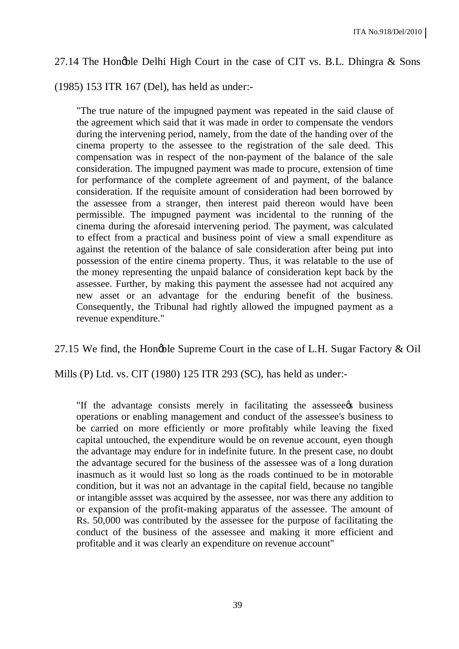#### 27.14 The Hongble Delhi High Court in the case of CIT vs. B.L. Dhingra  $\&$  Sons

(1985) 153 ITR 167 (Del), has held as under:-

"The true nature of the impugned payment was repeated in the said clause of the agreement which said that it was made in order to compensate the vendors during the intervening period, namely, from the date of the handing over of the cinema property to the assessee to the registration of the sale deed. This compensation was in respect of the non-payment of the balance of the sale consideration. The impugned payment was made to procure, extension of time for performance of the complete agreement of and payment, of the balance consideration. If the requisite amount of consideration had been borrowed by the assessee from a stranger, then interest paid thereon would have been permissible. The impugned payment was incidental to the running of the cinema during the aforesaid intervening period. The payment, was calculated to effect from a practical and business point of view a small expenditure as against the retention of the balance of sale consideration after being put into possession of the entire cinema property. Thus, it was relatable to the use of the money representing the unpaid balance of consideration kept back by the assessee. Further, by making this payment the assessee had not acquired any new asset or an advantage for the enduring benefit of the business. Consequently, the Tribunal had rightly allowed the impugned payment as a revenue expenditure."

27.15 We find, the Hongble Supreme Court in the case of L.H. Sugar Factory & Oil

Mills (P) Ltd. vs. CIT (1980) 125 ITR 293 (SC), has held as under:-

"If the advantage consists merely in facilitating the assessee to business operations or enabling management and conduct of the assessee's business to be carried on more efficiently or more profitably while leaving the fixed capital untouched, the expenditure would be on revenue account, eyen though the advantage may endure for in indefinite future. In the present case, no doubt the advantage secured for the business of the assessee was of a long duration inasmuch as it would lust so long as the roads continued to be in motorable condition, but it was not an advantage in the capital field, because no tangible or intangible assset was acquired by the assessee, nor was there any addition to or expansion of the profit-making apparatus of the assessee. The amount of Rs. 50,000 was contributed by the assessee for the purpose of facilitating the conduct of the business of the assessee and making it more efficient and profitable and it was clearly an expenditure on revenue account"